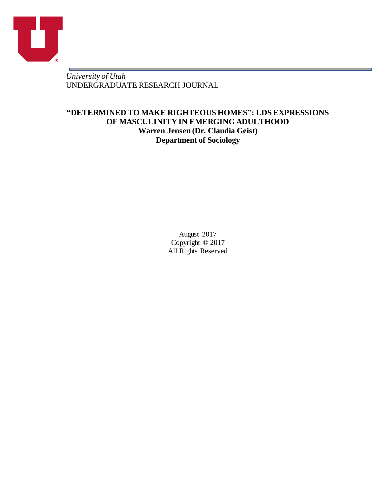

r.

*University of Utah* UNDERGRADUATE RESEARCH JOURNAL

# **"DETERMINED TO MAKE RIGHTEOUS HOMES": LDS EXPRESSIONS OF MASCULINITY IN EMERGING ADULTHOOD Warren Jensen (Dr. Claudia Geist) Department of Sociology**

August 2017 Copyright © 2017 All Rights Reserved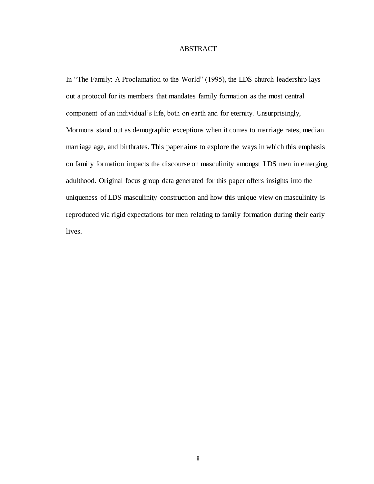## **ABSTRACT**

In "The Family: A Proclamation to the World" (1995), the LDS church leadership lays out a protocol for its members that mandates family formation as the most central component of an individual's life, both on earth and for eternity. Unsurprisingly, Mormons stand out as demographic exceptions when it comes to marriage rates, median marriage age, and birthrates. This paper aims to explore the ways in which this emphasis on family formation impacts the discourse on masculinity amongst LDS men in emerging adulthood. Original focus group data generated for this paper offers insights into the uniqueness of LDS masculinity construction and how this unique view on masculinity is reproduced via rigid expectations for men relating to family formation during their early lives.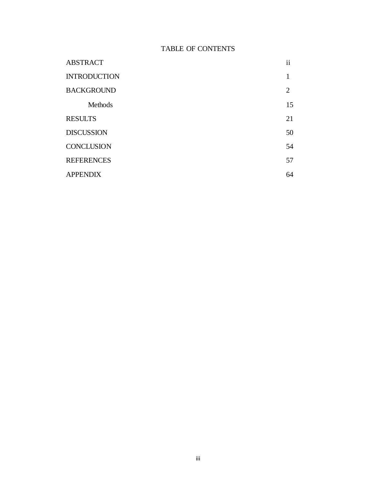# TABLE OF CONTENTS

| <b>ABSTRACT</b>     | ii |
|---------------------|----|
| <b>INTRODUCTION</b> |    |
| <b>BACKGROUND</b>   | 2  |
| <b>Methods</b>      | 15 |
| <b>RESULTS</b>      | 21 |
| <b>DISCUSSION</b>   | 50 |
| <b>CONCLUSION</b>   | 54 |
| <b>REFERENCES</b>   | 57 |
| <b>APPENDIX</b>     | 64 |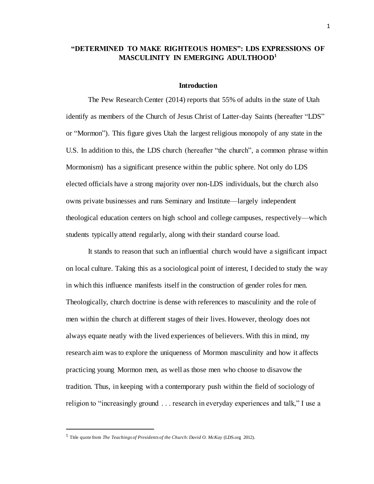## **"DETERMINED TO MAKE RIGHTEOUS HOMES": LDS EXPRESSIONS OF MASCULINITY IN EMERGING ADULTHOOD<sup>1</sup>**

#### **Introduction**

The Pew Research Center (2014) reports that 55% of adults in the state of Utah identify as members of the Church of Jesus Christ of Latter-day Saints (hereafter "LDS" or "Mormon"). This figure gives Utah the largest religious monopoly of any state in the U.S. In addition to this, the LDS church (hereafter "the church", a common phrase within Mormonism) has a significant presence within the public sphere. Not only do LDS elected officials have a strong majority over non-LDS individuals, but the church also owns private businesses and runs Seminary and Institute—largely independent theological education centers on high school and college campuses, respectively—which students typically attend regularly, along with their standard course load.

It stands to reason that such an influential church would have a significant impact on local culture. Taking this as a sociological point of interest, I decided to study the way in which this influence manifests itself in the construction of gender roles for men. Theologically, church doctrine is dense with references to masculinity and the role of men within the church at different stages of their lives. However, theology does not always equate neatly with the lived experiences of believers. With this in mind, my research aim was to explore the uniqueness of Mormon masculinity and how it affects practicing young Mormon men, as well as those men who choose to disavow the tradition. Thus, in keeping with a contemporary push within the field of sociology of religion to "increasingly ground . . . research in everyday experiences and talk," I use a

 $\overline{a}$ 

<sup>&</sup>lt;sup>1</sup> Title quote from *The Teachings of Presidents of the Church: David O. McKay* (LDS.org 2012).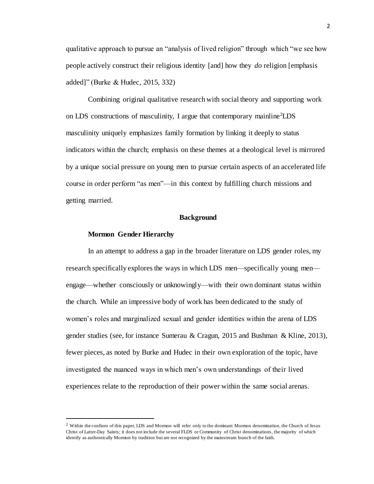qualitative approach to pursue an "analysis of lived religion" through which "we see how people actively construct their religious identity [and] how they *do* religion [emphasis added]" (Burke & Hudec, 2015, 332)

Combining original qualitative research with social theory and supporting work on LDS constructions of masculinity, I argue that contemporary mainline<sup>2</sup>LDS masculinity uniquely emphasizes family formation by linking it deeply to status indicators within the church; emphasis on these themes at a theological level is mirrored by a unique social pressure on young men to pursue certain aspects of an accelerated life course in order perform "as men"—in this context by fulfilling church missions and getting married.

#### **Background**

#### **Mormon Gender Hierarchy**

 $\overline{a}$ 

In an attempt to address a gap in the broader literature on LDS gender roles, my research specifically explores the ways in which LDS men—specifically young men engage—whether consciously or unknowingly—with their own dominant status within the church. While an impressive body of work has been dedicated to the study of women's roles and marginalized sexual and gender identities within the arena of LDS gender studies (see, for instance Sumerau & Cragun, 2015 and Bushman & Kline, 2013), fewer pieces, as noted by Burke and Hudec in their own exploration of the topic, have investigated the nuanced ways in which men's own understandings of their lived experiences relate to the reproduction of their power within the same social arenas.

 $2$  Within the confines of this paper, LDS and Mormon will refer only to the dominant Mormon denomination, the Church of Jesus Christ of Latter-Day Saints; it does not include the several FLDS or Community of Christ denominations, the majority of which identify as authentically Mormon by tradition but are not recognized by the mainstream branch of the faith.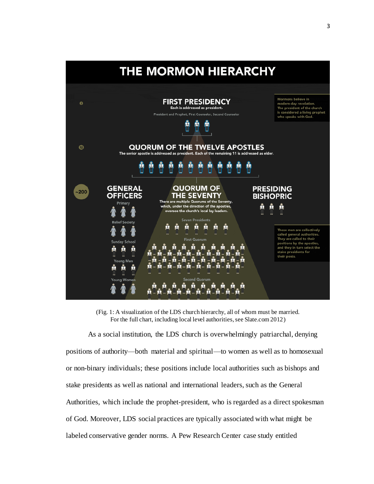

(Fig. 1: A visualization of the LDS church hierarchy, all of whom must be married. For the full chart, including local level authorities, see Slate.com 2012)

As a social institution, the LDS church is overwhelmingly patriarchal, denying positions of authority—both material and spiritual—to women as well as to homosexual or non-binary individuals; these positions include local authorities such as bishops and stake presidents as well as national and international leaders, such as the General Authorities, which include the prophet-president, who is regarded as a direct spokesman of God. Moreover, LDS social practices are typically associated with what might be labeled conservative gender norms. A Pew Research Center case study entitled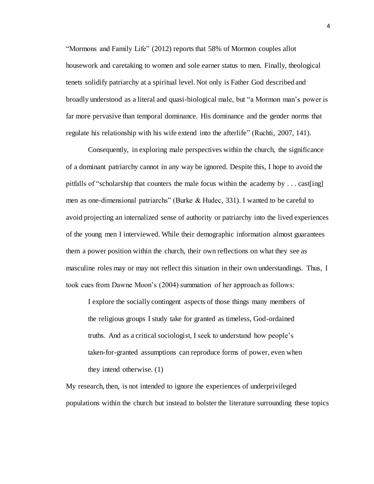"Mormons and Family Life" (2012) reports that 58% of Mormon couples allot housework and caretaking to women and sole earner status to men. Finally, theological tenets solidify patriarchy at a spiritual level. Not only is Father God described and broadly understood as a literal and quasi-biological male, but "a Mormon man's power is far more pervasive than temporal dominance. His dominance and the gender norms that regulate his relationship with his wife extend into the afterlife" (Ruchti, 2007, 141).

Consequently, in exploring male perspectives within the church, the significance of a dominant patriarchy cannot in any way be ignored. Despite this, I hope to avoid the pitfalls of "scholarship that counters the male focus within the academy by . . . cast[ing] men as one-dimensional patriarchs" (Burke & Hudec, 331). I wanted to be careful to avoid projecting an internalized sense of authority or patriarchy into the lived experiences of the young men I interviewed. While their demographic information almost guarantees them a power position within the church, their own reflections on what they see as masculine roles may or may not reflect this situation in their own understandings. Thus, I took cues from Dawne Moon's (2004) summation of her approach as follows:

I explore the socially contingent aspects of those things many members of the religious groups I study take for granted as timeless, God-ordained truths. And as a critical sociologist, I seek to understand how people's taken-for-granted assumptions can reproduce forms of power, even when they intend otherwise. (1)

My research, then, is not intended to ignore the experiences of underprivileged populations within the church but instead to bolster the literature surrounding these topics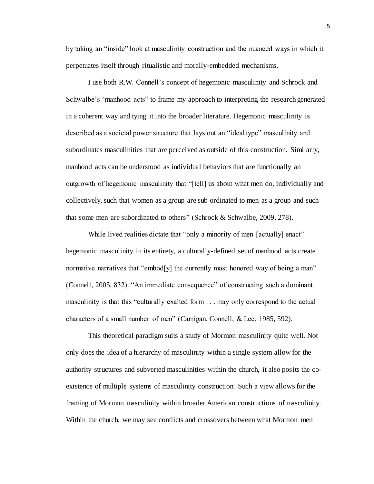by taking an "inside" look at masculinity construction and the nuanced ways in which it perpetuates itself through ritualistic and morally-embedded mechanisms.

I use both R.W. Connell's concept of hegemonic masculinity and Schrock and Schwalbe's "manhood acts" to frame my approach to interpreting the research generated in a coherent way and tying it into the broader literature. Hegemonic masculinity is described as a societal power structure that lays out an "ideal type" masculinity and subordinates masculinities that are perceived as outside of this construction. Similarly, manhood acts can be understood as individual behaviors that are functionally an outgrowth of hegemonic masculinity that "[tell] us about what men do, individually and collectively, such that women as a group are sub ordinated to men as a group and such that some men are subordinated to others" (Schrock & Schwalbe, 2009, 278).

While lived realities dictate that "only a minority of men [actually] enact" hegemonic masculinity in its entirety, a culturally-defined set of manhood acts create normative narratives that "embod[y] the currently most honored way of being a man" (Connell, 2005, 832). "An immediate consequence" of constructing such a dominant masculinity is that this "culturally exalted form . . . may only correspond to the actual characters of a small number of men" (Carrigan, Connell, & Lee, 1985, 592).

This theoretical paradigm suits a study of Mormon masculinity quite well. Not only does the idea of a hierarchy of masculinity within a single system allow for the authority structures and subverted masculinities within the church, it also posits the coexistence of multiple systems of masculinity construction. Such a view allows for the framing of Mormon masculinity within broader American constructions of masculinity. Within the church, we may see conflicts and crossovers between what Mormon men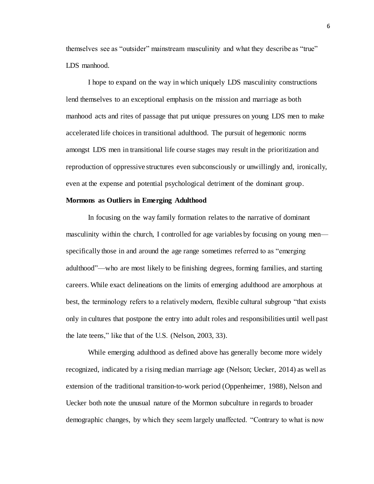themselves see as "outsider" mainstream masculinity and what they describe as "true" LDS manhood.

I hope to expand on the way in which uniquely LDS masculinity constructions lend themselves to an exceptional emphasis on the mission and marriage as both manhood acts and rites of passage that put unique pressures on young LDS men to make accelerated life choices in transitional adulthood. The pursuit of hegemonic norms amongst LDS men in transitional life course stages may result in the prioritization and reproduction of oppressive structures even subconsciously or unwillingly and, ironically, even at the expense and potential psychological detriment of the dominant group.

## **Mormons as Outliers in Emerging Adulthood**

In focusing on the way family formation relates to the narrative of dominant masculinity within the church, I controlled for age variables by focusing on young men specifically those in and around the age range sometimes referred to as "emerging adulthood"—who are most likely to be finishing degrees, forming families, and starting careers. While exact delineations on the limits of emerging adulthood are amorphous at best, the terminology refers to a relatively modern, flexible cultural subgroup "that exists only in cultures that postpone the entry into adult roles and responsibilities until well past the late teens," like that of the U.S. (Nelson, 2003, 33).

While emerging adulthood as defined above has generally become more widely recognized, indicated by a rising median marriage age (Nelson; Uecker, 2014) as well as extension of the traditional transition-to-work period (Oppenheimer, 1988), Nelson and Uecker both note the unusual nature of the Mormon subculture in regards to broader demographic changes, by which they seem largely unaffected. "Contrary to what is now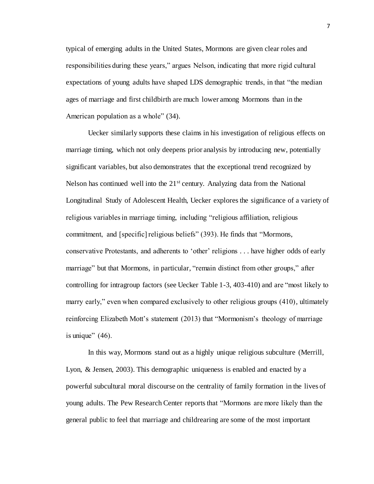typical of emerging adults in the United States, Mormons are given clear roles and responsibilities during these years," argues Nelson, indicating that more rigid cultural expectations of young adults have shaped LDS demographic trends, in that "the median ages of marriage and first childbirth are much lower among Mormons than in the American population as a whole" (34).

Uecker similarly supports these claims in his investigation of religious effects on marriage timing, which not only deepens prior analysis by introducing new, potentially significant variables, but also demonstrates that the exceptional trend recognized by Nelson has continued well into the  $21<sup>st</sup>$  century. Analyzing data from the National Longitudinal Study of Adolescent Health, Uecker explores the significance of a variety of religious variables in marriage timing, including "religious affiliation, religious commitment, and [specific] religious beliefs" (393). He finds that "Mormons, conservative Protestants, and adherents to 'other' religions . . . have higher odds of early marriage" but that Mormons, in particular, "remain distinct from other groups," after controlling for intragroup factors (see Uecker Table 1-3, 403-410) and are "most likely to marry early," even when compared exclusively to other religious groups (410), ultimately reinforcing Elizabeth Mott's statement (2013) that "Mormonism's theology of marriage is unique"  $(46)$ .

In this way, Mormons stand out as a highly unique religious subculture (Merrill, Lyon, & Jensen, 2003). This demographic uniqueness is enabled and enacted by a powerful subcultural moral discourse on the centrality of family formation in the lives of young adults. The Pew Research Center reports that "Mormons are more likely than the general public to feel that marriage and childrearing are some of the most important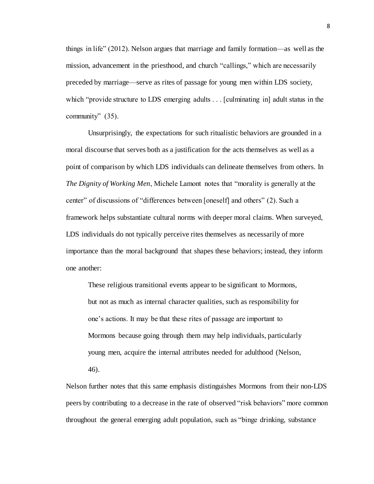things in life" (2012). Nelson argues that marriage and family formation—as well as the mission, advancement in the priesthood, and church "callings," which are necessarily preceded by marriage—serve as rites of passage for young men within LDS society, which "provide structure to LDS emerging adults . . . [culminating in] adult status in the community" (35).

Unsurprisingly, the expectations for such ritualistic behaviors are grounded in a moral discourse that serves both as a justification for the acts themselves as well as a point of comparison by which LDS individuals can delineate themselves from others. In *The Dignity of Working Men*, Michele Lamont notes that "morality is generally at the center" of discussions of "differences between [oneself] and others" (2). Such a framework helps substantiate cultural norms with deeper moral claims. When surveyed, LDS individuals do not typically perceive rites themselves as necessarily of more importance than the moral background that shapes these behaviors; instead, they inform one another:

These religious transitional events appear to be significant to Mormons, but not as much as internal character qualities, such as responsibility for one's actions. It may be that these rites of passage are important to Mormons because going through them may help individuals, particularly young men, acquire the internal attributes needed for adulthood (Nelson, 46).

Nelson further notes that this same emphasis distinguishes Mormons from their non-LDS peers by contributing to a decrease in the rate of observed "risk behaviors" more common throughout the general emerging adult population, such as "binge drinking, substance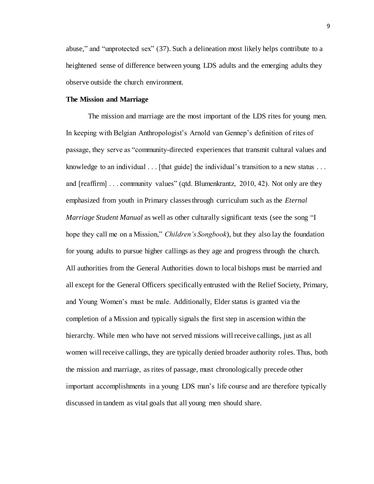abuse," and "unprotected sex" (37). Such a delineation most likely helps contribute to a heightened sense of difference between young LDS adults and the emerging adults they observe outside the church environment.

#### **The Mission and Marriage**

The mission and marriage are the most important of the LDS rites for young men. In keeping with Belgian Anthropologist's Arnold van Gennep's definition of rites of passage, they serve as "community-directed experiences that transmit cultural values and knowledge to an individual  $\ldots$  [that guide] the individual's transition to a new status  $\ldots$ and [reaffirm] . . . community values" (qtd. Blumenkrantz, 2010, 42). Not only are they emphasized from youth in Primary classes through curriculum such as the *Eternal Marriage Student Manual* as well as other culturally significant texts (see the song "I hope they call me on a Mission," *Children's Songbook*), but they also lay the foundation for young adults to pursue higher callings as they age and progress through the church. All authorities from the General Authorities down to local bishops must be married and all except for the General Officers specifically entrusted with the Relief Society, Primary, and Young Women's must be male. Additionally, Elder status is granted via the completion of a Mission and typically signals the first step in ascension within the hierarchy. While men who have not served missions will receive callings, just as all women will receive callings, they are typically denied broader authority roles. Thus, both the mission and marriage, as rites of passage, must chronologically precede other important accomplishments in a young LDS man's life course and are therefore typically discussed in tandem as vital goals that all young men should share.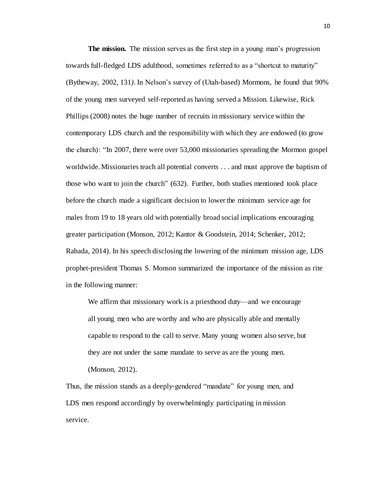**The mission.** The mission serves as the first step in a young man's progression towards full-fledged LDS adulthood, sometimes referred to as a "shortcut to maturity" (Bytheway, 2002, 131*)*. In Nelson's survey of (Utah-based) Mormons, he found that 90% of the young men surveyed self-reported as having served a Mission. Likewise, Rick Phillips (2008) notes the huge number of recruits in missionary service within the contemporary LDS church and the responsibility with which they are endowed (to grow the church): "In 2007, there were over 53,000 missionaries spreading the Mormon gospel worldwide. Missionaries teach all potential converts . . . and must approve the baptism of those who want to join the church" (632). Further, both studies mentioned took place before the church made a significant decision to lower the minimum service age for males from 19 to 18 years old with potentially broad social implications encouraging greater participation (Monson, 2012; Kantor & Goodstein, 2014; Schenker, 2012; Rabada, 2014). In his speech disclosing the lowering of the minimum mission age, LDS prophet-president Thomas S. Monson summarized the importance of the mission as rite in the following manner:

We affirm that missionary work is a priesthood duty—and we encourage all young men who are worthy and who are physically able and mentally capable to respond to the call to serve. Many young women also serve, but they are not under the same mandate to serve as are the young men. (Monson, 2012).

Thus, the mission stands as a deeply-gendered "mandate" for young men, and LDS men respond accordingly by overwhelmingly participating in mission service.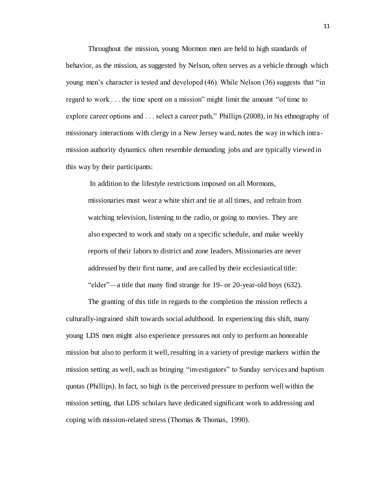Throughout the mission, young Mormon men are held to high standards of behavior, as the mission, as suggested by Nelson, often serves as a vehicle through which young men's character is tested and developed (46). While Nelson (36) suggests that "in regard to work . . . the time spent on a mission" might limit the amount "of time to explore career options and . . . select a career path," Phillips (2008), in his ethnography of missionary interactions with clergy in a New Jersey ward, notes the way in which intramission authority dynamics often resemble demanding jobs and are typically viewed in this way by their participants:

In addition to the lifestyle restrictions imposed on all Mormons,

missionaries must wear a white shirt and tie at all times, and refrain from watching television, listening to the radio, or going to movies. They are also expected to work and study on a specific schedule, and make weekly reports of their labors to district and zone leaders. Missionaries are never addressed by their first name, and are called by their ecclesiastical title: "elder"—a title that many find strange for 19- or 20-year-old boys (632).

The granting of this title in regards to the completion the mission reflects a culturally-ingrained shift towards social adulthood. In experiencing this shift, many young LDS men might also experience pressures not only to perform an honorable mission but also to perform it well, resulting in a variety of prestige markers within the mission setting as well, such as bringing "investigators" to Sunday services and baptism quotas (Phillips). In fact, so high is the perceived pressure to perform well within the mission setting, that LDS scholars have dedicated significant work to addressing and coping with mission-related stress (Thomas & Thomas, 1990).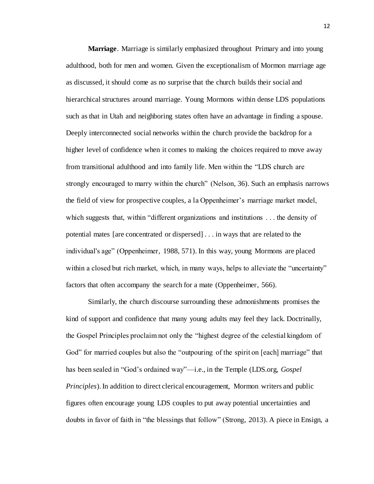**Marriage**. Marriage is similarly emphasized throughout Primary and into young adulthood, both for men and women. Given the exceptionalism of Mormon marriage age as discussed, it should come as no surprise that the church builds their social and hierarchical structures around marriage. Young Mormons within dense LDS populations such as that in Utah and neighboring states often have an advantage in finding a spouse. Deeply interconnected social networks within the church provide the backdrop for a higher level of confidence when it comes to making the choices required to move away from transitional adulthood and into family life. Men within the "LDS church are strongly encouraged to marry within the church" (Nelson, 36). Such an emphasis narrows the field of view for prospective couples, a la Oppenheimer's marriage market model, which suggests that, within "different organizations and institutions . . . the density of potential mates [are concentrated or dispersed] . . . in ways that are related to the individual's age" (Oppenheimer, 1988, 571). In this way, young Mormons are placed within a closed but rich market, which, in many ways, helps to alleviate the "uncertainty" factors that often accompany the search for a mate (Oppenheimer, 566).

Similarly, the church discourse surrounding these admonishments promises the kind of support and confidence that many young adults may feel they lack. Doctrinally, the Gospel Principles proclaim not only the "highest degree of the celestial kingdom of God" for married couples but also the "outpouring of the spirit on [each] marriage" that has been sealed in "God's ordained way"—i.e., in the Temple (LDS.org, *Gospel Principles*). In addition to direct clerical encouragement, Mormon writers and public figures often encourage young LDS couples to put away potential uncertainties and doubts in favor of faith in "the blessings that follow" (Strong, 2013). A piece in Ensign, a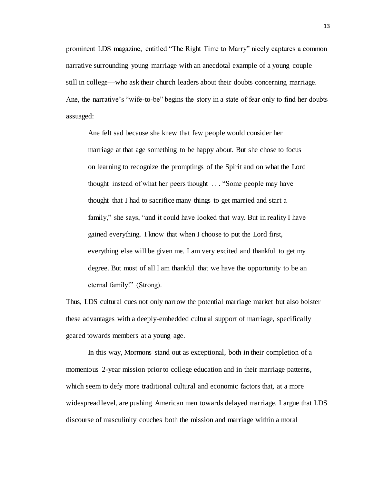prominent LDS magazine, entitled "The Right Time to Marry" nicely captures a common narrative surrounding young marriage with an anecdotal example of a young couple still in college—who ask their church leaders about their doubts concerning marriage. Ane, the narrative's "wife-to-be" begins the story in a state of fear only to find her doubts assuaged:

Ane felt sad because she knew that few people would consider her marriage at that age something to be happy about. But she chose to focus on learning to recognize the promptings of the Spirit and on what the Lord thought instead of what her peers thought . . . "Some people may have thought that I had to sacrifice many things to get married and start a family," she says, "and it could have looked that way. But in reality I have gained everything. I know that when I choose to put the Lord first, everything else will be given me. I am very excited and thankful to get my degree. But most of all I am thankful that we have the opportunity to be an eternal family!" (Strong).

Thus, LDS cultural cues not only narrow the potential marriage market but also bolster these advantages with a deeply-embedded cultural support of marriage, specifically geared towards members at a young age.

In this way, Mormons stand out as exceptional, both in their completion of a momentous 2-year mission prior to college education and in their marriage patterns, which seem to defy more traditional cultural and economic factors that, at a more widespread level, are pushing American men towards delayed marriage. I argue that LDS discourse of masculinity couches both the mission and marriage within a moral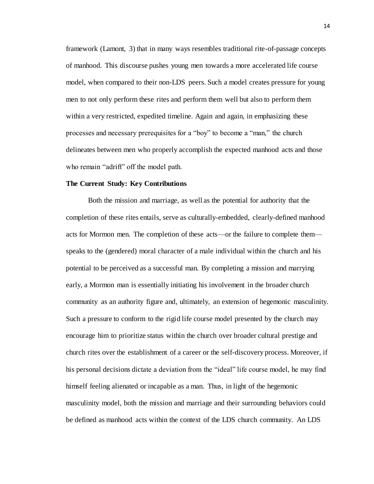framework (Lamont, 3) that in many ways resembles traditional rite-of-passage concepts of manhood. This discourse pushes young men towards a more accelerated life course model, when compared to their non-LDS peers. Such a model creates pressure for young men to not only perform these rites and perform them well but also to perform them within a very restricted, expedited timeline. Again and again, in emphasizing these processes and necessary prerequisites for a "boy" to become a "man," the church delineates between men who properly accomplish the expected manhood acts and those who remain "adrift" off the model path.

#### **The Current Study: Key Contributions**

Both the mission and marriage, as well as the potential for authority that the completion of these rites entails, serve as culturally-embedded, clearly-defined manhood acts for Mormon men. The completion of these acts—or the failure to complete them speaks to the (gendered) moral character of a male individual within the church and his potential to be perceived as a successful man. By completing a mission and marrying early, a Mormon man is essentially initiating his involvement in the broader church community as an authority figure and, ultimately, an extension of hegemonic masculinity. Such a pressure to conform to the rigid life course model presented by the church may encourage him to prioritize status within the church over broader cultural prestige and church rites over the establishment of a career or the self-discovery process. Moreover, if his personal decisions dictate a deviation from the "ideal" life course model, he may find himself feeling alienated or incapable as a man. Thus, in light of the hegemonic masculinity model, both the mission and marriage and their surrounding behaviors could be defined as manhood acts within the context of the LDS church community. An LDS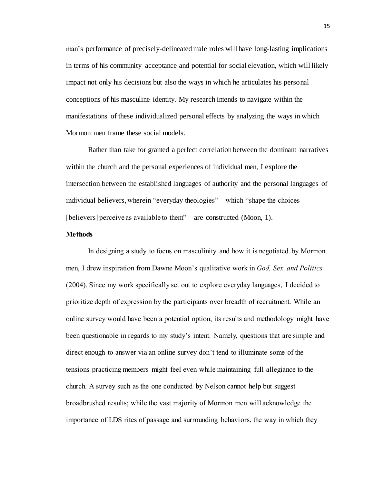man's performance of precisely-delineated male roles will have long-lasting implications in terms of his community acceptance and potential for social elevation, which will likely impact not only his decisions but also the ways in which he articulates his personal conceptions of his masculine identity. My research intends to navigate within the manifestations of these individualized personal effects by analyzing the ways in which Mormon men frame these social models.

Rather than take for granted a perfect correlation between the dominant narratives within the church and the personal experiences of individual men, I explore the intersection between the established languages of authority and the personal languages of individual believers, wherein "everyday theologies"—which "shape the choices [believers] perceive as available to them"—are constructed (Moon, 1).

### **Methods**

In designing a study to focus on masculinity and how it is negotiated by Mormon men, I drew inspiration from Dawne Moon's qualitative work in *God, Sex, and Politics*  (2004). Since my work specifically set out to explore everyday languages, I decided to prioritize depth of expression by the participants over breadth of recruitment. While an online survey would have been a potential option, its results and methodology might have been questionable in regards to my study's intent. Namely, questions that are simple and direct enough to answer via an online survey don't tend to illuminate some of the tensions practicing members might feel even while maintaining full allegiance to the church. A survey such as the one conducted by Nelson cannot help but suggest broadbrushed results; while the vast majority of Mormon men will acknowledge the importance of LDS rites of passage and surrounding behaviors, the way in which they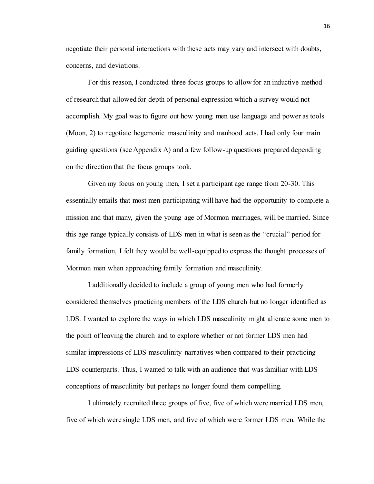negotiate their personal interactions with these acts may vary and intersect with doubts, concerns, and deviations.

For this reason, I conducted three focus groups to allow for an inductive method of research that allowed for depth of personal expression which a survey would not accomplish. My goal was to figure out how young men use language and power as tools (Moon, 2) to negotiate hegemonic masculinity and manhood acts. I had only four main guiding questions (see Appendix A) and a few follow-up questions prepared depending on the direction that the focus groups took.

Given my focus on young men, I set a participant age range from 20-30. This essentially entails that most men participating will have had the opportunity to complete a mission and that many, given the young age of Mormon marriages, will be married. Since this age range typically consists of LDS men in what is seen as the "crucial" period for family formation, I felt they would be well-equipped to express the thought processes of Mormon men when approaching family formation and masculinity.

I additionally decided to include a group of young men who had formerly considered themselves practicing members of the LDS church but no longer identified as LDS. I wanted to explore the ways in which LDS masculinity might alienate some men to the point of leaving the church and to explore whether or not former LDS men had similar impressions of LDS masculinity narratives when compared to their practicing LDS counterparts. Thus, I wanted to talk with an audience that was familiar with LDS conceptions of masculinity but perhaps no longer found them compelling.

I ultimately recruited three groups of five, five of which were married LDS men, five of which were single LDS men, and five of which were former LDS men. While the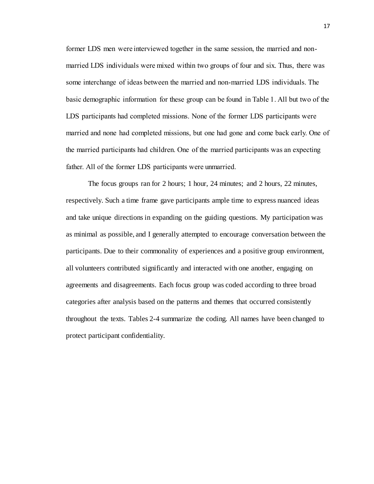former LDS men were interviewed together in the same session, the married and nonmarried LDS individuals were mixed within two groups of four and six. Thus, there was some interchange of ideas between the married and non-married LDS individuals. The basic demographic information for these group can be found in Table 1. All but two of the LDS participants had completed missions. None of the former LDS participants were married and none had completed missions, but one had gone and come back early. One of the married participants had children. One of the married participants was an expecting father. All of the former LDS participants were unmarried.

The focus groups ran for 2 hours; 1 hour, 24 minutes; and 2 hours, 22 minutes, respectively. Such a time frame gave participants ample time to express nuanced ideas and take unique directions in expanding on the guiding questions. My participation was as minimal as possible, and I generally attempted to encourage conversation between the participants. Due to their commonality of experiences and a positive group environment, all volunteers contributed significantly and interacted with one another, engaging on agreements and disagreements. Each focus group was coded according to three broad categories after analysis based on the patterns and themes that occurred consistently throughout the texts. Tables 2-4 summarize the coding. All names have been changed to protect participant confidentiality.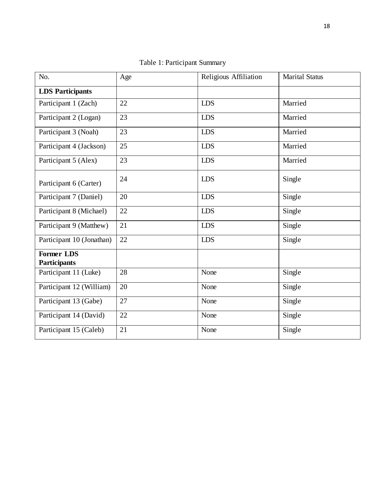| No.                                      | Age | Religious Affiliation | <b>Marital Status</b> |  |
|------------------------------------------|-----|-----------------------|-----------------------|--|
| <b>LDS</b> Participants                  |     |                       |                       |  |
| Participant 1 (Zach)                     | 22  | <b>LDS</b>            | Married               |  |
| Participant 2 (Logan)                    | 23  | <b>LDS</b>            | Married               |  |
| Participant 3 (Noah)                     | 23  | <b>LDS</b>            | Married               |  |
| Participant 4 (Jackson)                  | 25  | <b>LDS</b>            | Married               |  |
| Participant 5 (Alex)                     | 23  | <b>LDS</b>            | Married               |  |
| Participant 6 (Carter)                   | 24  | <b>LDS</b>            | Single                |  |
| Participant 7 (Daniel)                   | 20  | <b>LDS</b>            | Single                |  |
| Participant 8 (Michael)                  | 22  | <b>LDS</b>            | Single                |  |
| Participant 9 (Matthew)                  | 21  | <b>LDS</b>            | Single                |  |
| Participant 10 (Jonathan)                | 22  | <b>LDS</b>            | Single                |  |
| <b>Former LDS</b><br><b>Participants</b> |     |                       |                       |  |
| Participant 11 (Luke)                    | 28  | None                  | Single                |  |
| Participant 12 (William)                 | 20  | None                  | Single                |  |
| Participant 13 (Gabe)                    | 27  | None                  | Single                |  |
| Participant 14 (David)                   | 22  | None                  | Single                |  |
| Participant 15 (Caleb)                   | 21  | None                  | Single                |  |

Table 1: Participant Summary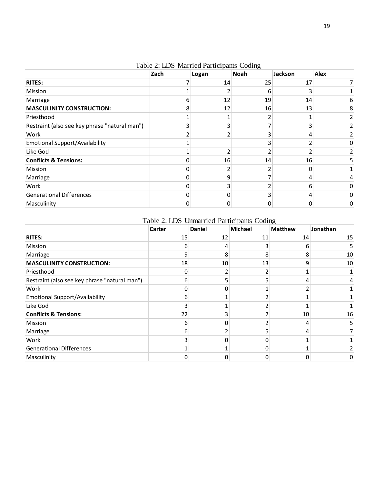|                                               | Zach | Logan | Noah | Jackson | <b>Alex</b> |
|-----------------------------------------------|------|-------|------|---------|-------------|
| <b>RITES:</b>                                 |      | 14    | 25   | 17      |             |
| Mission                                       |      |       | h    |         |             |
| Marriage                                      | 6    | 12    | 19   | 14      | 6           |
| <b>MASCULINITY CONSTRUCTION:</b>              | 8    | 12    | 16   | 13      | 8           |
| Priesthood                                    |      |       |      |         |             |
| Restraint (also see key phrase "natural man") |      |       |      |         |             |
| Work                                          |      |       |      |         |             |
| <b>Emotional Support/Availability</b>         |      |       |      |         | 0           |
| Like God                                      |      |       |      |         |             |
| <b>Conflicts &amp; Tensions:</b>              |      | 16    | 14   | 16      | 5.          |
| Mission                                       |      |       |      |         |             |
| Marriage                                      |      | q     |      |         |             |
| Work                                          |      |       |      | 6       | 0           |
| Generational Differences                      |      | 0     |      | 4       | 0           |
| Masculinity                                   |      |       |      |         | 0           |

Table 2: LDS Married Participants Coding

# Table 2: LDS Unmarried Participants Coding

|                                               | Carter | <b>Daniel</b> | Michael | <b>Matthew</b> | Jonathan |
|-----------------------------------------------|--------|---------------|---------|----------------|----------|
| <b>RITES:</b>                                 | 15     | 12            | 11      | 14             | 15       |
| Mission                                       | 6      |               |         | 6              | 5        |
| Marriage                                      | q      |               |         | 8              | 10       |
| <b>MASCULINITY CONSTRUCTION:</b>              | 18     | 10            | 13      | 9              | 10       |
| Priesthood                                    | O      |               |         |                |          |
| Restraint (also see key phrase "natural man") | 6      |               |         | 4              |          |
| Work                                          | 0      |               |         |                |          |
| <b>Emotional Support/Availability</b>         | 6      |               |         |                |          |
| Like God                                      | ੨      |               |         |                |          |
| <b>Conflicts &amp; Tensions:</b>              | 22     |               |         | 10             | 16       |
| Mission                                       | 6      |               |         | 4              | 5        |
| Marriage                                      | 6      |               |         | 4              |          |
| Work                                          | ς      |               |         |                |          |
| <b>Generational Differences</b>               |        |               | O       |                |          |
| Masculinity                                   |        |               |         |                |          |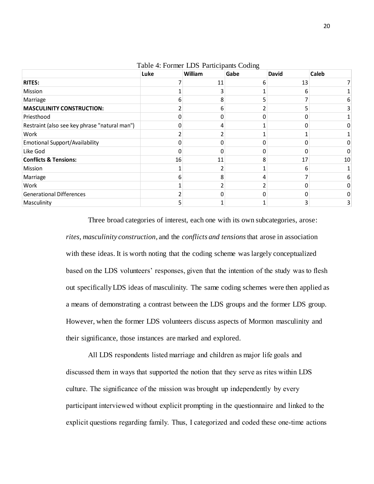|                                               | Luke | William | Gabe | <b>David</b> | Caleb |
|-----------------------------------------------|------|---------|------|--------------|-------|
| <b>RITES:</b>                                 |      | 11      | 6    | 13           |       |
| Mission                                       |      |         |      | 6            |       |
| Marriage                                      | h    | 8       |      |              |       |
| <b>MASCULINITY CONSTRUCTION:</b>              |      | 6       |      |              |       |
| Priesthood                                    |      |         |      |              |       |
| Restraint (also see key phrase "natural man") |      |         |      | ŋ            |       |
| Work                                          |      |         |      |              |       |
| <b>Emotional Support/Availability</b>         |      |         |      |              |       |
| Like God                                      | n    |         |      | ŋ            | ი     |
| <b>Conflicts &amp; Tensions:</b>              | 16   | 11      | 8    | 17           | 10    |
| Mission                                       |      |         |      | 6            |       |
| Marriage                                      | 6    | 8       |      |              | 6     |
| Work                                          |      |         |      |              |       |
| <b>Generational Differences</b>               |      |         |      | O            | 0     |
| Masculinity                                   |      |         |      | 3            | 3     |

Table 4: Former LDS Participants Coding

Three broad categories of interest, each one with its own subcategories, arose: *rites, masculinity construction*, and the *conflicts and tensions*that arose in association with these ideas. It is worth noting that the coding scheme was largely conceptualized based on the LDS volunteers' responses, given that the intention of the study was to flesh out specifically LDS ideas of masculinity. The same coding schemes were then applied as a means of demonstrating a contrast between the LDS groups and the former LDS group. However, when the former LDS volunteers discuss aspects of Mormon masculinity and their significance, those instances are marked and explored.

All LDS respondents listed marriage and children as major life goals and discussed them in ways that supported the notion that they serve as rites within LDS culture. The significance of the mission was brought up independently by every participant interviewed without explicit prompting in the questionnaire and linked to the explicit questions regarding family. Thus, I categorized and coded these one-time actions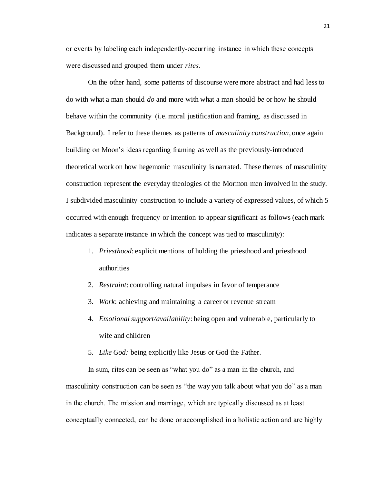or events by labeling each independently-occurring instance in which these concepts were discussed and grouped them under *rites*.

On the other hand, some patterns of discourse were more abstract and had less to do with what a man should *do* and more with what a man should *be* or how he should behave within the community (i.e. moral justification and framing, as discussed in Background). I refer to these themes as patterns of *masculinity construction*, once again building on Moon's ideas regarding framing as well as the previously-introduced theoretical work on how hegemonic masculinity is narrated. These themes of masculinity construction represent the everyday theologies of the Mormon men involved in the study. I subdivided masculinity construction to include a variety of expressed values, of which 5 occurred with enough frequency or intention to appear significant as follows (each mark indicates a separate instance in which the concept was tied to masculinity):

- 1. *Priesthood*: explicit mentions of holding the priesthood and priesthood authorities
- 2. *Restraint*: controlling natural impulses in favor of temperance
- 3. *Work*: achieving and maintaining a career or revenue stream
- 4. *Emotional support/availability*: being open and vulnerable, particularly to wife and children
- 5. *Like God:* being explicitly like Jesus or God the Father.

In sum, rites can be seen as "what you do" as a man in the church, and masculinity construction can be seen as "the way you talk about what you do" as a man in the church. The mission and marriage, which are typically discussed as at least conceptually connected, can be done or accomplished in a holistic action and are highly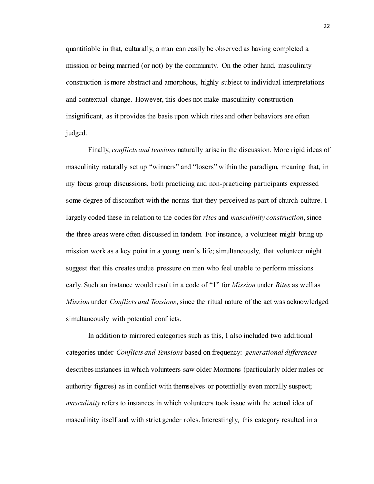quantifiable in that, culturally, a man can easily be observed as having completed a mission or being married (or not) by the community. On the other hand, masculinity construction is more abstract and amorphous, highly subject to individual interpretations and contextual change. However, this does not make masculinity construction insignificant, as it provides the basis upon which rites and other behaviors are often judged.

Finally, *conflicts and tensions* naturally arise in the discussion. More rigid ideas of masculinity naturally set up "winners" and "losers" within the paradigm, meaning that, in my focus group discussions, both practicing and non-practicing participants expressed some degree of discomfort with the norms that they perceived as part of church culture. I largely coded these in relation to the codes for *rites* and *masculinity construction*, since the three areas were often discussed in tandem. For instance, a volunteer might bring up mission work as a key point in a young man's life; simultaneously, that volunteer might suggest that this creates undue pressure on men who feel unable to perform missions early. Such an instance would result in a code of "1" for *Mission* under *Rites* as well as *Mission* under *Conflicts and Tensions*, since the ritual nature of the act was acknowledged simultaneously with potential conflicts.

In addition to mirrored categories such as this, I also included two additional categories under *Conflicts and Tensions* based on frequency: *generational differences*  describes instances in which volunteers saw older Mormons (particularly older males or authority figures) as in conflict with themselves or potentially even morally suspect; *masculinity* refers to instances in which volunteers took issue with the actual idea of masculinity itself and with strict gender roles. Interestingly, this category resulted in a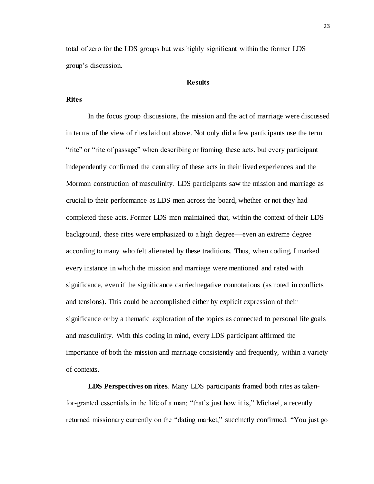total of zero for the LDS groups but was highly significant within the former LDS group's discussion.

## **Results**

## **Rites**

In the focus group discussions, the mission and the act of marriage were discussed in terms of the view of rites laid out above. Not only did a few participants use the term "rite" or "rite of passage" when describing or framing these acts, but every participant independently confirmed the centrality of these acts in their lived experiences and the Mormon construction of masculinity. LDS participants saw the mission and marriage as crucial to their performance as LDS men across the board, whether or not they had completed these acts. Former LDS men maintained that, within the context of their LDS background, these rites were emphasized to a high degree—even an extreme degree according to many who felt alienated by these traditions. Thus, when coding, I marked every instance in which the mission and marriage were mentioned and rated with significance, even if the significance carried negative connotations (as noted in conflicts and tensions). This could be accomplished either by explicit expression of their significance or by a thematic exploration of the topics as connected to personal life goals and masculinity. With this coding in mind, every LDS participant affirmed the importance of both the mission and marriage consistently and frequently, within a variety of contexts.

**LDS Perspectives on rites**. Many LDS participants framed both rites as takenfor-granted essentials in the life of a man; "that's just how it is," Michael, a recently returned missionary currently on the "dating market," succinctly confirmed. "You just go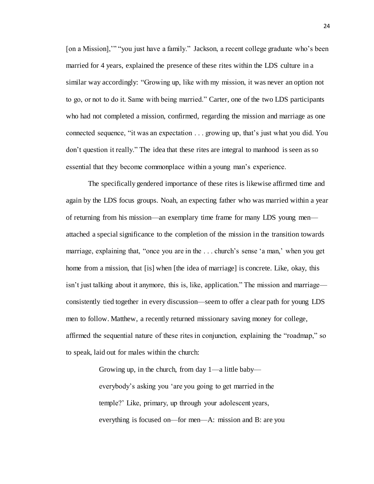[on a Mission],"" "you just have a family." Jackson, a recent college graduate who's been married for 4 years, explained the presence of these rites within the LDS culture in a similar way accordingly: "Growing up, like with my mission, it was never an option not to go, or not to do it. Same with being married." Carter, one of the two LDS participants who had not completed a mission, confirmed, regarding the mission and marriage as one connected sequence, "it was an expectation . . . growing up, that's just what you did. You don't question it really." The idea that these rites are integral to manhood is seen as so essential that they become commonplace within a young man's experience.

The specifically gendered importance of these rites is likewise affirmed time and again by the LDS focus groups. Noah, an expecting father who was married within a year of returning from his mission—an exemplary time frame for many LDS young men attached a special significance to the completion of the mission in the transition towards marriage, explaining that, "once you are in the . . . church's sense 'a man,' when you get home from a mission, that [is] when [the idea of marriage] is concrete. Like, okay, this isn't just talking about it anymore, this is, like, application." The mission and marriage consistently tied together in every discussion—seem to offer a clear path for young LDS men to follow. Matthew, a recently returned missionary saving money for college, affirmed the sequential nature of these rites in conjunction, explaining the "roadmap," so to speak, laid out for males within the church:

> Growing up, in the church, from day 1—a little baby everybody's asking you 'are you going to get married in the temple?' Like, primary, up through your adolescent years, everything is focused on—for men—A: mission and B: are you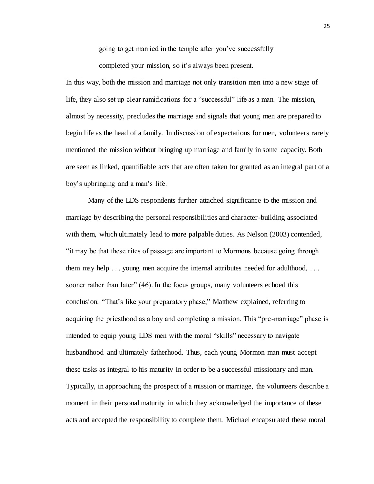going to get married in the temple after you've successfully

completed your mission, so it's always been present.

In this way, both the mission and marriage not only transition men into a new stage of life, they also set up clear ramifications for a "successful" life as a man. The mission, almost by necessity, precludes the marriage and signals that young men are prepared to begin life as the head of a family. In discussion of expectations for men, volunteers rarely mentioned the mission without bringing up marriage and family in some capacity. Both are seen as linked, quantifiable acts that are often taken for granted as an integral part of a boy's upbringing and a man's life.

Many of the LDS respondents further attached significance to the mission and marriage by describing the personal responsibilities and character-building associated with them, which ultimately lead to more palpable duties. As Nelson (2003) contended, "it may be that these rites of passage are important to Mormons because going through them may help . . . young men acquire the internal attributes needed for adulthood, . . . sooner rather than later" (46). In the focus groups, many volunteers echoed this conclusion. "That's like your preparatory phase," Matthew explained, referring to acquiring the priesthood as a boy and completing a mission. This "pre-marriage" phase is intended to equip young LDS men with the moral "skills" necessary to navigate husbandhood and ultimately fatherhood. Thus, each young Mormon man must accept these tasks as integral to his maturity in order to be a successful missionary and man. Typically, in approaching the prospect of a mission or marriage, the volunteers describe a moment in their personal maturity in which they acknowledged the importance of these acts and accepted the responsibility to complete them. Michael encapsulated these moral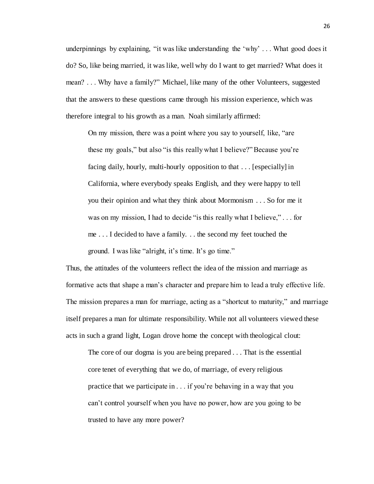underpinnings by explaining, "it was like understanding the 'why' . . . What good does it do? So, like being married, it was like, well why do I want to get married? What does it mean? . . . Why have a family?" Michael, like many of the other Volunteers, suggested that the answers to these questions came through his mission experience, which was therefore integral to his growth as a man. Noah similarly affirmed:

On my mission, there was a point where you say to yourself, like, "are these my goals," but also "is this really what I believe?" Because you're facing daily, hourly, multi-hourly opposition to that . . . [especially] in California, where everybody speaks English, and they were happy to tell you their opinion and what they think about Mormonism . . . So for me it was on my mission, I had to decide "is this really what I believe," . . . for me . . . I decided to have a family. . . the second my feet touched the ground. I was like "alright, it's time. It's go time."

Thus, the attitudes of the volunteers reflect the idea of the mission and marriage as formative acts that shape a man's character and prepare him to lead a truly effective life. The mission prepares a man for marriage, acting as a "shortcut to maturity," and marriage itself prepares a man for ultimate responsibility. While not all volunteers viewed these acts in such a grand light, Logan drove home the concept with theological clout:

The core of our dogma is you are being prepared . . . That is the essential core tenet of everything that we do, of marriage, of every religious practice that we participate in . . . if you're behaving in a way that you can't control yourself when you have no power, how are you going to be trusted to have any more power?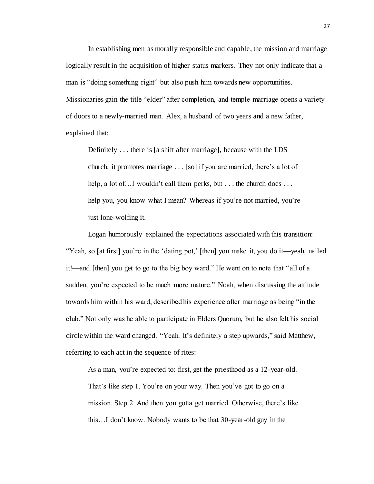In establishing men as morally responsible and capable, the mission and marriage logically result in the acquisition of higher status markers. They not only indicate that a man is "doing something right" but also push him towards new opportunities. Missionaries gain the title "elder" after completion, and temple marriage opens a variety of doors to a newly-married man. Alex, a husband of two years and a new father, explained that:

Definitely . . . there is [a shift after marriage], because with the LDS church, it promotes marriage . . . [so] if you are married, there's a lot of help, a lot of... I wouldn't call them perks, but ... the church does ... help you, you know what I mean? Whereas if you're not married, you're just lone-wolfing it.

Logan humorously explained the expectations associated with this transition: "Yeah, so [at first] you're in the 'dating pot,' [then] you make it, you do it—yeah, nailed it!—and [then] you get to go to the big boy ward." He went on to note that "all of a sudden, you're expected to be much more mature." Noah, when discussing the attitude towards him within his ward, described his experience after marriage as being "in the club." Not only was he able to participate in Elders Quorum, but he also felt his social circle within the ward changed. "Yeah. It's definitely a step upwards," said Matthew, referring to each act in the sequence of rites:

As a man, you're expected to: first, get the priesthood as a 12-year-old. That's like step 1. You're on your way. Then you've got to go on a mission. Step 2. And then you gotta get married. Otherwise, there's like this…I don't know. Nobody wants to be that 30-year-old guy in the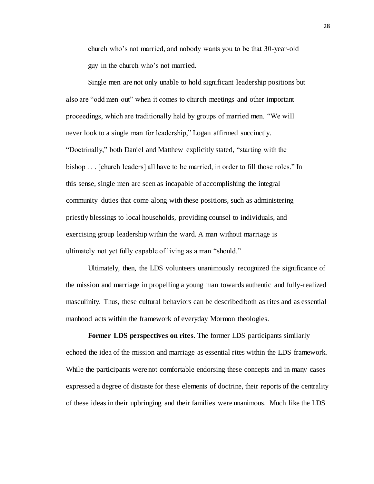church who's not married, and nobody wants you to be that 30-year-old guy in the church who's not married.

Single men are not only unable to hold significant leadership positions but also are "odd men out" when it comes to church meetings and other important proceedings, which are traditionally held by groups of married men. "We will never look to a single man for leadership," Logan affirmed succinctly. "Doctrinally," both Daniel and Matthew explicitly stated, "starting with the bishop . . . [church leaders] all have to be married, in order to fill those roles." In this sense, single men are seen as incapable of accomplishing the integral community duties that come along with these positions, such as administering priestly blessings to local households, providing counsel to individuals, and exercising group leadership within the ward. A man without marriage is ultimately not yet fully capable of living as a man "should."

Ultimately, then, the LDS volunteers unanimously recognized the significance of the mission and marriage in propelling a young man towards authentic and fully-realized masculinity. Thus, these cultural behaviors can be described both as rites and as essential manhood acts within the framework of everyday Mormon theologies.

**Former LDS perspectives on rites**. The former LDS participants similarly echoed the idea of the mission and marriage as essential rites within the LDS framework. While the participants were not comfortable endorsing these concepts and in many cases expressed a degree of distaste for these elements of doctrine, their reports of the centrality of these ideas in their upbringing and their families were unanimous. Much like the LDS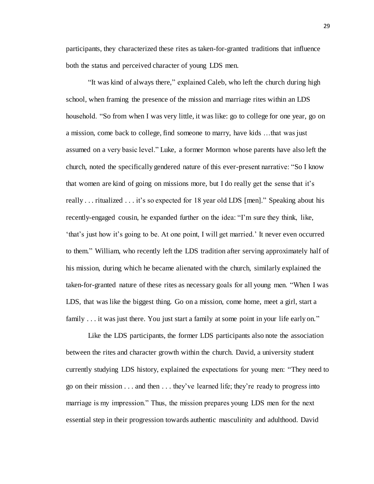participants, they characterized these rites as taken-for-granted traditions that influence both the status and perceived character of young LDS men.

"It was kind of always there," explained Caleb, who left the church during high school, when framing the presence of the mission and marriage rites within an LDS household. "So from when I was very little, it was like: go to college for one year, go on a mission, come back to college, find someone to marry, have kids …that was just assumed on a very basic level." Luke, a former Mormon whose parents have also left the church, noted the specifically gendered nature of this ever-present narrative: "So I know that women are kind of going on missions more, but I do really get the sense that it's really . . . ritualized . . . it's so expected for 18 year old LDS [men]." Speaking about his recently-engaged cousin, he expanded further on the idea: "I'm sure they think, like, 'that's just how it's going to be. At one point, I will get married.' It never even occurred to them." William, who recently left the LDS tradition after serving approximately half of his mission, during which he became alienated with the church, similarly explained the taken-for-granted nature of these rites as necessary goals for all young men. "When I was LDS, that was like the biggest thing. Go on a mission, come home, meet a girl, start a family . . . it was just there. You just start a family at some point in your life early on."

Like the LDS participants, the former LDS participants also note the association between the rites and character growth within the church. David, a university student currently studying LDS history, explained the expectations for young men: "They need to go on their mission . . . and then . . . they've learned life; they're ready to progress into marriage is my impression." Thus, the mission prepares young LDS men for the next essential step in their progression towards authentic masculinity and adulthood. David

29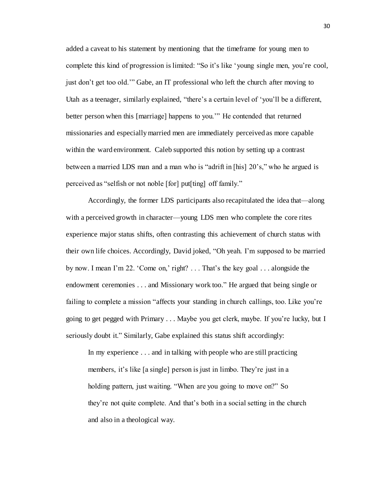added a caveat to his statement by mentioning that the timeframe for young men to complete this kind of progression is limited: "So it's like 'young single men, you're cool, just don't get too old.'" Gabe, an IT professional who left the church after moving to Utah as a teenager, similarly explained, "there's a certain level of 'you'll be a different, better person when this [marriage] happens to you.'" He contended that returned missionaries and especially married men are immediately perceived as more capable within the ward environment. Caleb supported this notion by setting up a contrast between a married LDS man and a man who is "adrift in [his] 20's," who he argued is perceived as "selfish or not noble [for] put[ting] off family."

Accordingly, the former LDS participants also recapitulated the idea that—along with a perceived growth in character—young LDS men who complete the core rites experience major status shifts, often contrasting this achievement of church status with their own life choices. Accordingly, David joked, "Oh yeah. I'm supposed to be married by now. I mean I'm 22. 'Come on,' right? . . . That's the key goal . . . alongside the endowment ceremonies . . . and Missionary work too." He argued that being single or failing to complete a mission "affects your standing in church callings, too. Like you're going to get pegged with Primary . . . Maybe you get clerk, maybe. If you're lucky, but I seriously doubt it." Similarly, Gabe explained this status shift accordingly:

In my experience . . . and in talking with people who are still practicing members, it's like [a single] person is just in limbo. They're just in a holding pattern, just waiting. "When are you going to move on?" So they're not quite complete. And that's both in a social setting in the church and also in a theological way.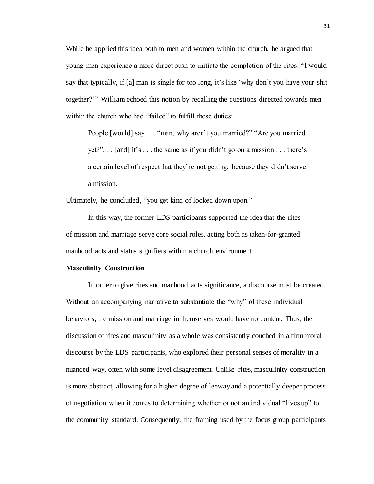While he applied this idea both to men and women within the church, he argued that young men experience a more direct push to initiate the completion of the rites: "I would say that typically, if [a] man is single for too long, it's like 'why don't you have your shit together?'" William echoed this notion by recalling the questions directed towards men within the church who had "failed" to fulfill these duties:

People [would] say . . . "man, why aren't you married?" "Are you married yet?". . . [and] it's . . . the same as if you didn't go on a mission . . . there's a certain level of respect that they're not getting, because they didn't serve a mission.

Ultimately, he concluded, "you get kind of looked down upon."

In this way, the former LDS participants supported the idea that the rites of mission and marriage serve core social roles, acting both as taken-for-granted manhood acts and status signifiers within a church environment.

#### **Masculinity Construction**

In order to give rites and manhood acts significance, a discourse must be created. Without an accompanying narrative to substantiate the "why" of these individual behaviors, the mission and marriage in themselves would have no content. Thus, the discussion of rites and masculinity as a whole was consistently couched in a firm moral discourse by the LDS participants, who explored their personal senses of morality in a nuanced way, often with some level disagreement. Unlike rites, masculinity construction is more abstract, allowing for a higher degree of leeway and a potentially deeper process of negotiation when it comes to determining whether or not an individual "lives up" to the community standard. Consequently, the framing used by the focus group participants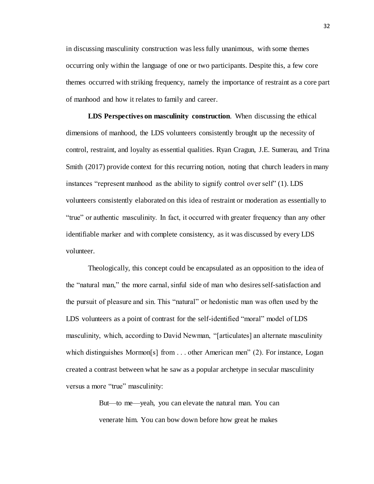in discussing masculinity construction was less fully unanimous, with some themes occurring only within the language of one or two participants. Despite this, a few core themes occurred with striking frequency, namely the importance of restraint as a core part of manhood and how it relates to family and career.

**LDS Perspectives on masculinity construction**. When discussing the ethical dimensions of manhood, the LDS volunteers consistently brought up the necessity of control, restraint, and loyalty as essential qualities. Ryan Cragun, J.E. Sumerau, and Trina Smith (2017) provide context for this recurring notion, noting that church leaders in many instances "represent manhood as the ability to signify control over self" (1). LDS volunteers consistently elaborated on this idea of restraint or moderation as essentially to "true" or authentic masculinity. In fact, it occurred with greater frequency than any other identifiable marker and with complete consistency, as it was discussed by every LDS volunteer.

Theologically, this concept could be encapsulated as an opposition to the idea of the "natural man," the more carnal, sinful side of man who desires self-satisfaction and the pursuit of pleasure and sin. This "natural" or hedonistic man was often used by the LDS volunteers as a point of contrast for the self-identified "moral" model of LDS masculinity, which, according to David Newman, "[articulates] an alternate masculinity which distinguishes Mormon[s] from . . . other American men" (2). For instance, Logan created a contrast between what he saw as a popular archetype in secular masculinity versus a more "true" masculinity:

> But—to me—yeah, you can elevate the natural man. You can venerate him. You can bow down before how great he makes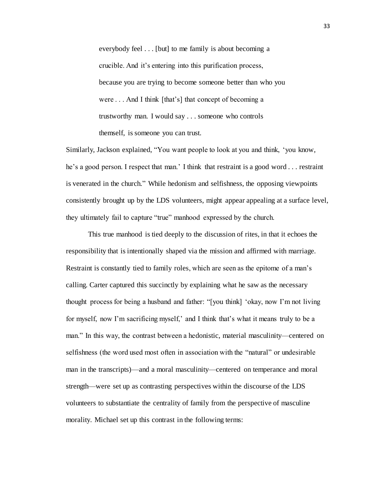everybody feel . . . [but] to me family is about becoming a crucible. And it's entering into this purification process, because you are trying to become someone better than who you were . . . And I think [that's] that concept of becoming a trustworthy man. I would say . . . someone who controls themself, is someone you can trust.

Similarly, Jackson explained, "You want people to look at you and think, 'you know, he's a good person. I respect that man.' I think that restraint is a good word . . . restraint is venerated in the church." While hedonism and selfishness, the opposing viewpoints consistently brought up by the LDS volunteers, might appear appealing at a surface level, they ultimately fail to capture "true" manhood expressed by the church.

This true manhood is tied deeply to the discussion of rites, in that it echoes the responsibility that is intentionally shaped via the mission and affirmed with marriage. Restraint is constantly tied to family roles, which are seen as the epitome of a man's calling. Carter captured this succinctly by explaining what he saw as the necessary thought process for being a husband and father: "[you think] 'okay, now I'm not living for myself, now I'm sacrificing myself,' and I think that's what it means truly to be a man." In this way, the contrast between a hedonistic, material masculinity—centered on selfishness (the word used most often in association with the "natural" or undesirable man in the transcripts)—and a moral masculinity—centered on temperance and moral strength—were set up as contrasting perspectives within the discourse of the LDS volunteers to substantiate the centrality of family from the perspective of masculine morality. Michael set up this contrast in the following terms: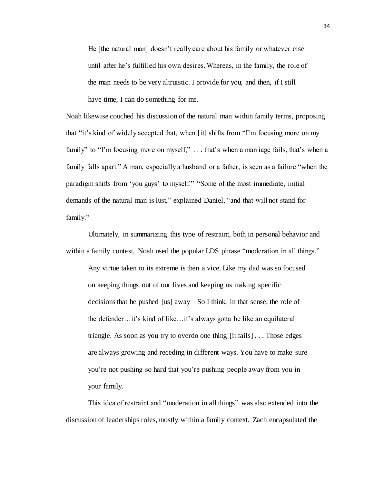He [the natural man] doesn't really care about his family or whatever else until after he's fulfilled his own desires. Whereas, in the family, the role of the man needs to be very altruistic. I provide for you, and then, if I still have time, I can do something for me.

Noah likewise couched his discussion of the natural man within family terms, proposing that "it's kind of widely accepted that, when [it] shifts from "I'm focusing more on my family" to "I'm focusing more on myself," ... that's when a marriage fails, that's when a family falls apart." A man, especially a husband or a father, is seen as a failure "when the paradigm shifts from 'you guys' to myself." "Some of the most immediate, initial demands of the natural man is lust," explained Daniel, "and that will not stand for family."

Ultimately, in summarizing this type of restraint, both in personal behavior and within a family context, Noah used the popular LDS phrase "moderation in all things."

Any virtue taken to its extreme is then a vice. Like my dad was so focused on keeping things out of our lives and keeping us making specific decisions that he pushed [us] away—So I think, in that sense, the role of the defender…it's kind of like…it's always gotta be like an equilateral triangle. As soon as you try to overdo one thing [it fails] . . . Those edges are always growing and receding in different ways. You have to make sure you're not pushing so hard that you're pushing people away from you in your family.

This idea of restraint and "moderation in all things" was also extended into the discussion of leaderships roles, mostly within a family context. Zach encapsulated the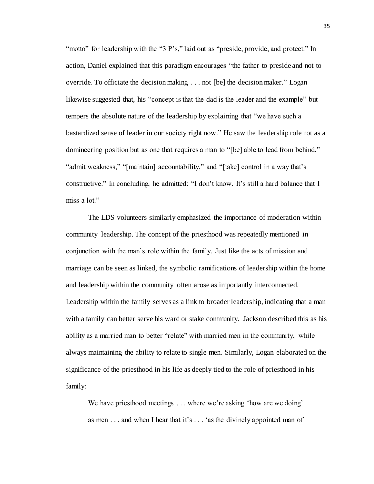"motto" for leadership with the "3 P's," laid out as "preside, provide, and protect." In action, Daniel explained that this paradigm encourages "the father to preside and not to override. To officiate the decision making . . . not [be] the decision maker." Logan likewise suggested that, his "concept is that the dad is the leader and the example" but tempers the absolute nature of the leadership by explaining that "we have such a bastardized sense of leader in our society right now." He saw the leadership role not as a domineering position but as one that requires a man to "[be] able to lead from behind," "admit weakness," "[maintain] accountability," and "[take] control in a way that's constructive." In concluding, he admitted: "I don't know. It's still a hard balance that I miss a lot."

The LDS volunteers similarly emphasized the importance of moderation within community leadership. The concept of the priesthood was repeatedly mentioned in conjunction with the man's role within the family. Just like the acts of mission and marriage can be seen as linked, the symbolic ramifications of leadership within the home and leadership within the community often arose as importantly interconnected. Leadership within the family serves as a link to broader leadership, indicating that a man with a family can better serve his ward or stake community. Jackson described this as his ability as a married man to better "relate" with married men in the community, while always maintaining the ability to relate to single men. Similarly, Logan elaborated on the significance of the priesthood in his life as deeply tied to the role of priesthood in his family:

We have priesthood meetings . . . where we're asking 'how are we doing' as men . . . and when I hear that it's . . . 'as the divinely appointed man of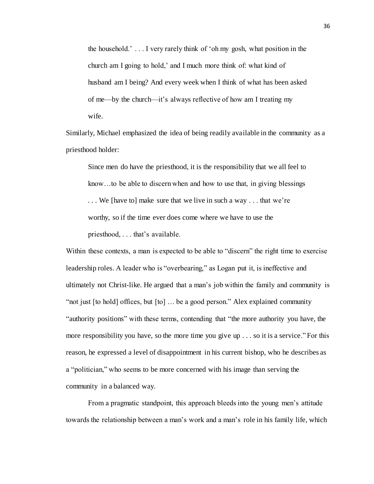the household.' . . . I very rarely think of 'oh my gosh, what position in the church am I going to hold,' and I much more think of: what kind of husband am I being? And every week when I think of what has been asked of me—by the church—it's always reflective of how am I treating my wife.

Similarly, Michael emphasized the idea of being readily available in the community as a priesthood holder:

Since men do have the priesthood, it is the responsibility that we all feel to know…to be able to discern when and how to use that, in giving blessings *. . .* We [have to] make sure that we live in such a way . . . that we're worthy, so if the time ever does come where we have to use the priesthood, . . . that's available.

Within these contexts, a man is expected to be able to "discern" the right time to exercise leadership roles. A leader who is "overbearing," as Logan put it, is ineffective and ultimately not Christ-like. He argued that a man's job within the family and community is "not just [to hold] offices, but [to] … be a good person." Alex explained community "authority positions" with these terms, contending that "the more authority you have, the more responsibility you have, so the more time you give up . . . so it is a service." For this reason, he expressed a level of disappointment in his current bishop, who he describes as a "politician," who seems to be more concerned with his image than serving the community in a balanced way.

From a pragmatic standpoint, this approach bleeds into the young men's attitude towards the relationship between a man's work and a man's role in his family life, which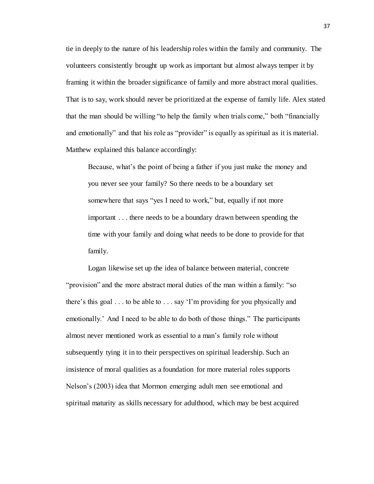tie in deeply to the nature of his leadership roles within the family and community. The volunteers consistently brought up work as important but almost always temper it by framing it within the broader significance of family and more abstract moral qualities. That is to say, work should never be prioritized at the expense of family life. Alex stated that the man should be willing "to help the family when trials come," both "financially and emotionally" and that his role as "provider" is equally as spiritual as it is material. Matthew explained this balance accordingly:

Because, what's the point of being a father if you just make the money and you never see your family? So there needs to be a boundary set somewhere that says "yes I need to work," but, equally if not more important . . . there needs to be a boundary drawn between spending the time with your family and doing what needs to be done to provide for that family.

Logan likewise set up the idea of balance between material, concrete "provision" and the more abstract moral duties of the man within a family: "so there's this goal . . . to be able to . . . say 'I'm providing for you physically and emotionally.' And I need to be able to do both of those things." The participants almost never mentioned work as essential to a man's family role without subsequently tying it in to their perspectives on spiritual leadership. Such an insistence of moral qualities as a foundation for more material roles supports Nelson's (2003) idea that Mormon emerging adult men see emotional and spiritual maturity as skills necessary for adulthood, which may be best acquired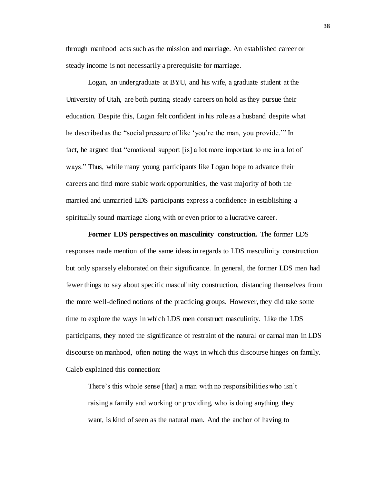through manhood acts such as the mission and marriage. An established career or steady income is not necessarily a prerequisite for marriage.

Logan, an undergraduate at BYU, and his wife, a graduate student at the University of Utah, are both putting steady careers on hold as they pursue their education. Despite this, Logan felt confident in his role as a husband despite what he described as the "social pressure of like 'you're the man, you provide.'" In fact, he argued that "emotional support [is] a lot more important to me in a lot of ways." Thus, while many young participants like Logan hope to advance their careers and find more stable work opportunities, the vast majority of both the married and unmarried LDS participants express a confidence in establishing a spiritually sound marriage along with or even prior to a lucrative career.

**Former LDS perspectives on masculinity construction.** The former LDS responses made mention of the same ideas in regards to LDS masculinity construction but only sparsely elaborated on their significance. In general, the former LDS men had fewer things to say about specific masculinity construction, distancing themselves from the more well-defined notions of the practicing groups. However, they did take some time to explore the ways in which LDS men construct masculinity. Like the LDS participants, they noted the significance of restraint of the natural or carnal man in LDS discourse on manhood, often noting the ways in which this discourse hinges on family. Caleb explained this connection:

There's this whole sense [that] a man with no responsibilities who isn't raising a family and working or providing, who is doing anything they want, is kind of seen as the natural man. And the anchor of having to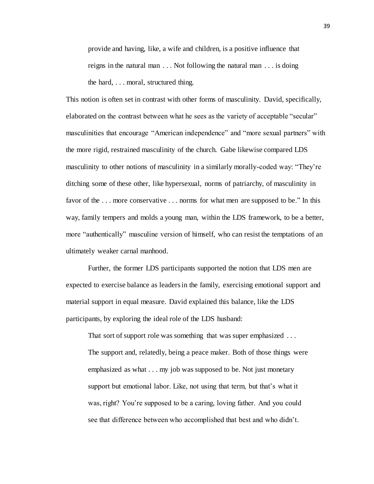provide and having, like, a wife and children, is a positive influence that reigns in the natural man . . . Not following the natural man . . . is doing the hard, . . . moral, structured thing.

This notion is often set in contrast with other forms of masculinity. David, specifically, elaborated on the contrast between what he sees as the variety of acceptable "secular" masculinities that encourage "American independence" and "more sexual partners" with the more rigid, restrained masculinity of the church. Gabe likewise compared LDS masculinity to other notions of masculinity in a similarly morally-coded way: "They're ditching some of these other, like hypersexual, norms of patriarchy, of masculinity in favor of the . . . more conservative . . . norms for what men are supposed to be." In this way, family tempers and molds a young man, within the LDS framework, to be a better, more "authentically" masculine version of himself, who can resist the temptations of an ultimately weaker carnal manhood.

Further, the former LDS participants supported the notion that LDS men are expected to exercise balance as leaders in the family, exercising emotional support and material support in equal measure. David explained this balance, like the LDS participants, by exploring the ideal role of the LDS husband:

That sort of support role was something that was super emphasized ... The support and, relatedly, being a peace maker. Both of those things were emphasized as what . . . my job was supposed to be. Not just monetary support but emotional labor. Like, not using that term, but that's what it was, right? You're supposed to be a caring, loving father. And you could see that difference between who accomplished that best and who didn't.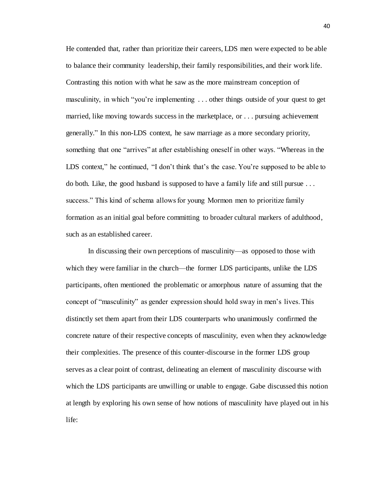He contended that, rather than prioritize their careers, LDS men were expected to be able to balance their community leadership, their family responsibilities, and their work life. Contrasting this notion with what he saw as the more mainstream conception of masculinity, in which "you're implementing . . . other things outside of your quest to get married, like moving towards success in the marketplace, or . . . pursuing achievement generally." In this non-LDS context, he saw marriage as a more secondary priority, something that one "arrives" at after establishing oneself in other ways. "Whereas in the LDS context," he continued, "I don't think that's the case. You're supposed to be able to do both. Like, the good husband is supposed to have a family life and still pursue . . . success." This kind of schema allows for young Mormon men to prioritize family formation as an initial goal before committing to broader cultural markers of adulthood, such as an established career.

In discussing their own perceptions of masculinity—as opposed to those with which they were familiar in the church—the former LDS participants, unlike the LDS participants, often mentioned the problematic or amorphous nature of assuming that the concept of "masculinity" as gender expression should hold sway in men's lives. This distinctly set them apart from their LDS counterparts who unanimously confirmed the concrete nature of their respective concepts of masculinity, even when they acknowledge their complexities. The presence of this counter-discourse in the former LDS group serves as a clear point of contrast, delineating an element of masculinity discourse with which the LDS participants are unwilling or unable to engage. Gabe discussed this notion at length by exploring his own sense of how notions of masculinity have played out in his life: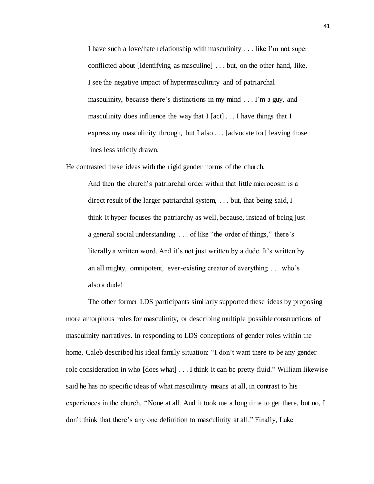I have such a love/hate relationship with masculinity . . . like I'm not super conflicted about [identifying as masculine] . . . but, on the other hand, like, I see the negative impact of hypermasculinity and of patriarchal masculinity, because there's distinctions in my mind . . . I'm a guy, and masculinity does influence the way that I [act] ... I have things that I express my masculinity through, but I also . . . [advocate for] leaving those lines less strictly drawn.

He contrasted these ideas with the rigid gender norms of the church.

And then the church's patriarchal order within that little microcosm is a direct result of the larger patriarchal system, . . . but, that being said, I think it hyper focuses the patriarchy as well, because, instead of being just a general social understanding . . . of like "the order of things," there's literally a written word. And it's not just written by a dude. It's written by an all mighty, omnipotent, ever-existing creator of everything . . . who's also a dude!

The other former LDS participants similarly supported these ideas by proposing more amorphous roles for masculinity, or describing multiple possible constructions of masculinity narratives. In responding to LDS conceptions of gender roles within the home, Caleb described his ideal family situation: "I don't want there to be any gender role consideration in who [does what] . . . I think it can be pretty fluid." William likewise said he has no specific ideas of what masculinity means at all, in contrast to his experiences in the church. "None at all. And it took me a long time to get there, but no, I don't think that there's any one definition to masculinity at all." Finally, Luke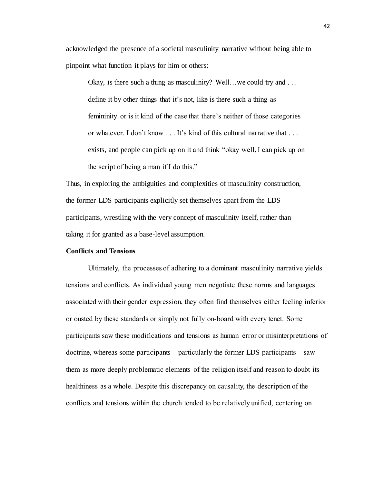acknowledged the presence of a societal masculinity narrative without being able to pinpoint what function it plays for him or others:

Okay, is there such a thing as masculinity? Well...we could try and ... define it by other things that it's not, like is there such a thing as femininity or is it kind of the case that there's neither of those categories or whatever. I don't know . . . It's kind of this cultural narrative that . . . exists, and people can pick up on it and think "okay well, I can pick up on the script of being a man if I do this."

Thus, in exploring the ambiguities and complexities of masculinity construction, the former LDS participants explicitly set themselves apart from the LDS participants, wrestling with the very concept of masculinity itself, rather than taking it for granted as a base-level assumption.

### **Conflicts and Tensions**

Ultimately, the processes of adhering to a dominant masculinity narrative yields tensions and conflicts. As individual young men negotiate these norms and languages associated with their gender expression, they often find themselves either feeling inferior or ousted by these standards or simply not fully on-board with every tenet. Some participants saw these modifications and tensions as human error or misinterpretations of doctrine, whereas some participants—particularly the former LDS participants—saw them as more deeply problematic elements of the religion itself and reason to doubt its healthiness as a whole. Despite this discrepancy on causality, the description of the conflicts and tensions within the church tended to be relatively unified, centering on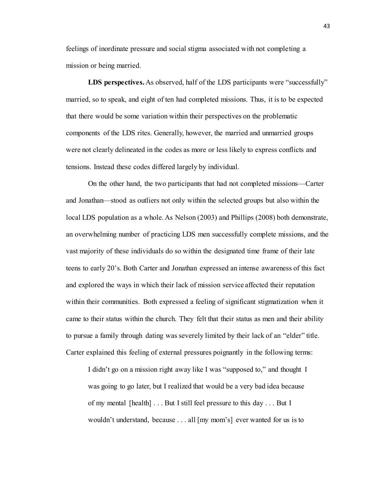feelings of inordinate pressure and social stigma associated with not completing a mission or being married.

**LDS perspectives.** As observed, half of the LDS participants were "successfully" married, so to speak, and eight of ten had completed missions. Thus, it is to be expected that there would be some variation within their perspectives on the problematic components of the LDS rites. Generally, however, the married and unmarried groups were not clearly delineated in the codes as more or less likely to express conflicts and tensions. Instead these codes differed largely by individual.

On the other hand, the two participants that had not completed missions—Carter and Jonathan—stood as outliers not only within the selected groups but also within the local LDS population as a whole. As Nelson (2003) and Phillips (2008) both demonstrate, an overwhelming number of practicing LDS men successfully complete missions, and the vast majority of these individuals do so within the designated time frame of their late teens to early 20's. Both Carter and Jonathan expressed an intense awareness of this fact and explored the ways in which their lack of mission service affected their reputation within their communities. Both expressed a feeling of significant stigmatization when it came to their status within the church. They felt that their status as men and their ability to pursue a family through dating was severely limited by their lack of an "elder" title. Carter explained this feeling of external pressures poignantly in the following terms:

I didn't go on a mission right away like I was "supposed to," and thought I was going to go later, but I realized that would be a very bad idea because of my mental [health] . . . But I still feel pressure to this day . . . But I wouldn't understand, because . . . all [my mom's] ever wanted for us is to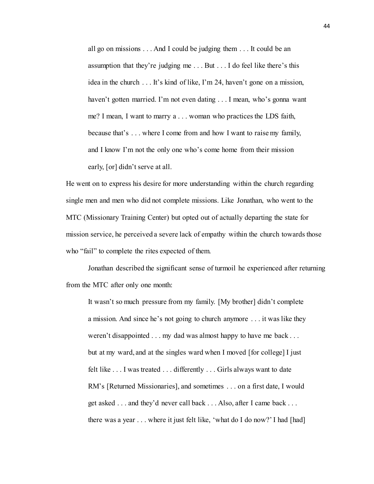all go on missions . . . And I could be judging them . . . It could be an assumption that they're judging me . . . But . . . I do feel like there's this idea in the church . . . It's kind of like, I'm 24, haven't gone on a mission, haven't gotten married. I'm not even dating . . . I mean, who's gonna want me? I mean, I want to marry a . . . woman who practices the LDS faith, because that's . . . where I come from and how I want to raise my family, and I know I'm not the only one who's come home from their mission early, [or] didn't serve at all.

He went on to express his desire for more understanding within the church regarding single men and men who did not complete missions. Like Jonathan, who went to the MTC (Missionary Training Center) but opted out of actually departing the state for mission service, he perceived a severe lack of empathy within the church towards those who "fail" to complete the rites expected of them.

Jonathan described the significant sense of turmoil he experienced after returning from the MTC after only one month:

It wasn't so much pressure from my family. [My brother] didn't complete a mission. And since he's not going to church anymore . . . it was like they weren't disappointed . . . my dad was almost happy to have me back . . . but at my ward, and at the singles ward when I moved [for college] I just felt like . . . I was treated . . . differently . . . Girls always want to date RM's [Returned Missionaries], and sometimes . . . on a first date, I would get asked . . . and they'd never call back . . . Also, after I came back . . . there was a year . . . where it just felt like, 'what do I do now?' I had [had]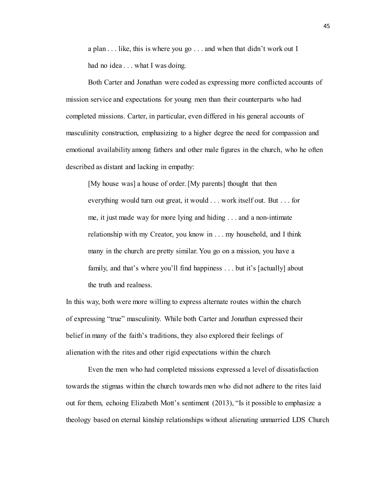a plan . . . like, this is where you go . . . and when that didn't work out I had no idea . . . what I was doing.

Both Carter and Jonathan were coded as expressing more conflicted accounts of mission service and expectations for young men than their counterparts who had completed missions. Carter, in particular, even differed in his general accounts of masculinity construction, emphasizing to a higher degree the need for compassion and emotional availability among fathers and other male figures in the church, who he often described as distant and lacking in empathy:

[My house was] a house of order. [My parents] thought that then everything would turn out great, it would . . . work itself out. But . . . for me, it just made way for more lying and hiding . . . and a non-intimate relationship with my Creator, you know in . . . my household, and I think many in the church are pretty similar. You go on a mission, you have a family, and that's where you'll find happiness . . . but it's [actually] about the truth and realness.

In this way, both were more willing to express alternate routes within the church of expressing "true" masculinity. While both Carter and Jonathan expressed their belief in many of the faith's traditions, they also explored their feelings of alienation with the rites and other rigid expectations within the church

Even the men who had completed missions expressed a level of dissatisfaction towards the stigmas within the church towards men who did not adhere to the rites laid out for them, echoing Elizabeth Mott's sentiment (2013), "Is it possible to emphasize a theology based on eternal kinship relationships without alienating unmarried LDS Church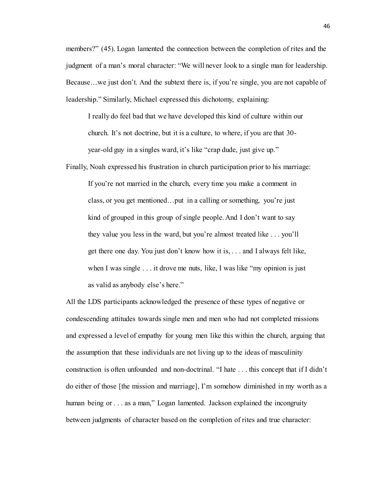members?" (45). Logan lamented the connection between the completion of rites and the judgment of a man's moral character: "We will never look to a single man for leadership. Because…we just don't. And the subtext there is, if you're single, you are not capable of leadership." Similarly, Michael expressed this dichotomy, explaining:

I really do feel bad that we have developed this kind of culture within our church. It's not doctrine, but it is a culture, to where, if you are that 30 year-old guy in a singles ward, it's like "crap dude, just give up."

Finally, Noah expressed his frustration in church participation prior to his marriage: If you're not married in the church, every time you make a comment in class, or you get mentioned…put in a calling or something, you're just kind of grouped in this group of single people. And I don't want to say they value you less in the ward, but you're almost treated like . . . you'll get there one day. You just don't know how it is, . . . and I always felt like, when I was single . . . it drove me nuts, like, I was like "my opinion is just as valid as anybody else's here."

All the LDS participants acknowledged the presence of these types of negative or condescending attitudes towards single men and men who had not completed missions and expressed a level of empathy for young men like this within the church, arguing that the assumption that these individuals are not living up to the ideas of masculinity construction is often unfounded and non-doctrinal. "I hate . . . this concept that if I didn't do either of those [the mission and marriage], I'm somehow diminished in my worth as a human being or . . . as a man," Logan lamented. Jackson explained the incongruity between judgments of character based on the completion of rites and true character: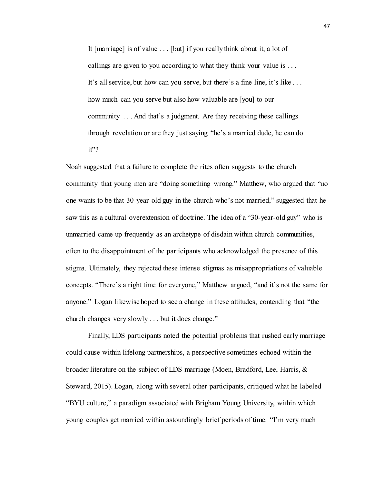It [marriage] is of value . . . [but] if you really think about it, a lot of callings are given to you according to what they think your value is . . . It's all service, but how can you serve, but there's a fine line, it's like . . . how much can you serve but also how valuable are [you] to our community . . . And that's a judgment. Are they receiving these callings through revelation or are they just saying "he's a married dude, he can do it"?

Noah suggested that a failure to complete the rites often suggests to the church community that young men are "doing something wrong." Matthew, who argued that "no one wants to be that 30-year-old guy in the church who's not married," suggested that he saw this as a cultural overextension of doctrine. The idea of a "30-year-old guy" who is unmarried came up frequently as an archetype of disdain within church communities, often to the disappointment of the participants who acknowledged the presence of this stigma. Ultimately, they rejected these intense stigmas as misappropriations of valuable concepts. "There's a right time for everyone," Matthew argued, "and it's not the same for anyone." Logan likewise hoped to see a change in these attitudes, contending that "the church changes very slowly . . . but it does change."

Finally, LDS participants noted the potential problems that rushed early marriage could cause within lifelong partnerships, a perspective sometimes echoed within the broader literature on the subject of LDS marriage (Moen, Bradford, Lee, Harris, & Steward, 2015). Logan, along with several other participants, critiqued what he labeled "BYU culture," a paradigm associated with Brigham Young University, within which young couples get married within astoundingly brief periods of time. "I'm very much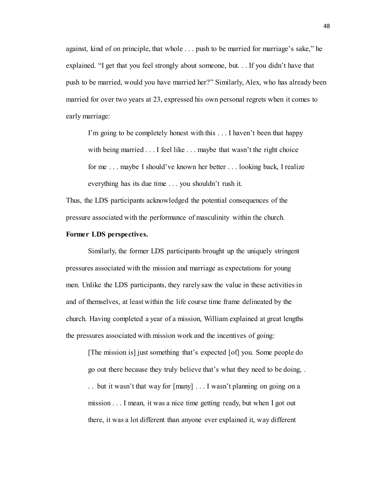against, kind of on principle, that whole . . . push to be married for marriage's sake," he explained. "I get that you feel strongly about someone, but. . . If you didn't have that push to be married, would you have married her?" Similarly, Alex, who has already been married for over two years at 23, expressed his own personal regrets when it comes to early marriage:

I'm going to be completely honest with this . . . I haven't been that happy with being married . . . I feel like . . . maybe that wasn't the right choice for me . . . maybe I should've known her better . . . looking back, I realize everything has its due time . . . you shouldn't rush it.

Thus, the LDS participants acknowledged the potential consequences of the pressure associated with the performance of masculinity within the church.

#### **Former LDS perspectives.**

Similarly, the former LDS participants brought up the uniquely stringent pressures associated with the mission and marriage as expectations for young men. Unlike the LDS participants, they rarely saw the value in these activities in and of themselves, at least within the life course time frame delineated by the church. Having completed a year of a mission, William explained at great lengths the pressures associated with mission work and the incentives of going:

[The mission is] just something that's expected [of] you. Some people do go out there because they truly believe that's what they need to be doing, . . . but it wasn't that way for [many] . . . I wasn't planning on going on a mission . . . I mean, it was a nice time getting ready, but when I got out there, it was a lot different than anyone ever explained it, way different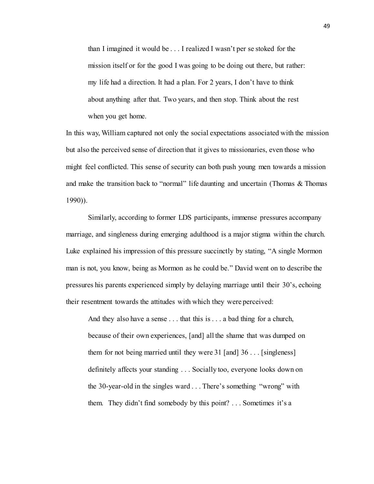than I imagined it would be . . . I realized I wasn't per se stoked for the mission itself or for the good I was going to be doing out there, but rather: my life had a direction. It had a plan. For 2 years, I don't have to think about anything after that. Two years, and then stop. Think about the rest when you get home.

In this way, William captured not only the social expectations associated with the mission but also the perceived sense of direction that it gives to missionaries, even those who might feel conflicted. This sense of security can both push young men towards a mission and make the transition back to "normal" life daunting and uncertain (Thomas & Thomas 1990)).

Similarly, according to former LDS participants, immense pressures accompany marriage, and singleness during emerging adulthood is a major stigma within the church. Luke explained his impression of this pressure succinctly by stating, "A single Mormon man is not, you know, being as Mormon as he could be." David went on to describe the pressures his parents experienced simply by delaying marriage until their 30's, echoing their resentment towards the attitudes with which they were perceived:

And they also have a sense . . . that this is . . . a bad thing for a church, because of their own experiences, [and] all the shame that was dumped on them for not being married until they were 31 [and] 36 . . . [singleness] definitely affects your standing . . . Socially too, everyone looks down on the 30-year-old in the singles ward . . . There's something "wrong" with them. They didn't find somebody by this point? . . . Sometimes it's a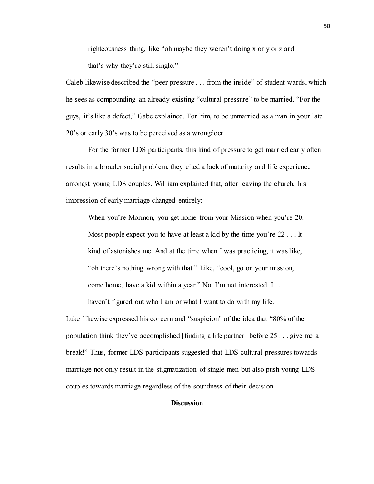righteousness thing, like "oh maybe they weren't doing x or y or z and that's why they're still single."

Caleb likewise described the "peer pressure . . . from the inside" of student wards, which he sees as compounding an already-existing "cultural pressure" to be married. "For the guys, it's like a defect," Gabe explained. For him, to be unmarried as a man in your late 20's or early 30's was to be perceived as a wrongdoer.

For the former LDS participants, this kind of pressure to get married early often results in a broader social problem; they cited a lack of maturity and life experience amongst young LDS couples. William explained that, after leaving the church, his impression of early marriage changed entirely:

When you're Mormon, you get home from your Mission when you're 20. Most people expect you to have at least a kid by the time you're 22 . . . It kind of astonishes me. And at the time when I was practicing, it was like, "oh there's nothing wrong with that." Like, "cool, go on your mission, come home, have a kid within a year." No. I'm not interested. I . . .

haven't figured out who I am or what I want to do with my life.

Luke likewise expressed his concern and "suspicion" of the idea that "80% of the population think they've accomplished [finding a life partner] before 25 . . . give me a break!" Thus, former LDS participants suggested that LDS cultural pressures towards marriage not only result in the stigmatization of single men but also push young LDS couples towards marriage regardless of the soundness of their decision.

## **Discussion**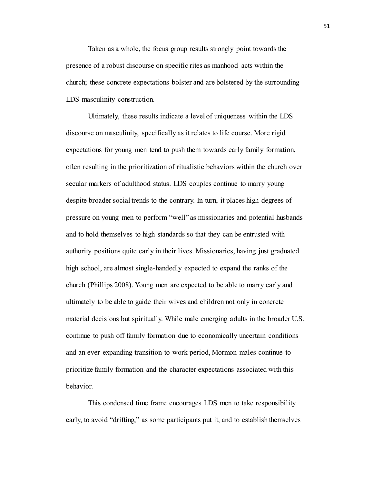Taken as a whole, the focus group results strongly point towards the presence of a robust discourse on specific rites as manhood acts within the church; these concrete expectations bolster and are bolstered by the surrounding LDS masculinity construction.

Ultimately, these results indicate a level of uniqueness within the LDS discourse on masculinity, specifically as it relates to life course. More rigid expectations for young men tend to push them towards early family formation, often resulting in the prioritization of ritualistic behaviors within the church over secular markers of adulthood status. LDS couples continue to marry young despite broader social trends to the contrary. In turn, it places high degrees of pressure on young men to perform "well" as missionaries and potential husbands and to hold themselves to high standards so that they can be entrusted with authority positions quite early in their lives. Missionaries, having just graduated high school, are almost single-handedly expected to expand the ranks of the church (Phillips 2008). Young men are expected to be able to marry early and ultimately to be able to guide their wives and children not only in concrete material decisions but spiritually. While male emerging adults in the broader U.S. continue to push off family formation due to economically uncertain conditions and an ever-expanding transition-to-work period, Mormon males continue to prioritize family formation and the character expectations associated with this behavior.

This condensed time frame encourages LDS men to take responsibility early, to avoid "drifting," as some participants put it, and to establish themselves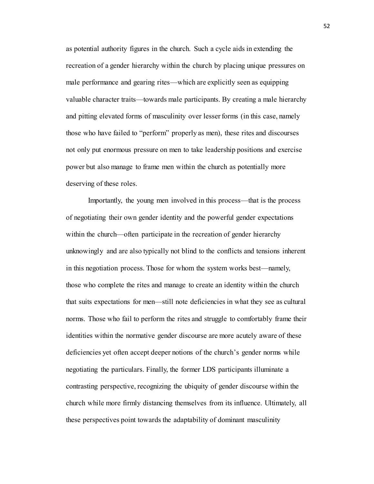as potential authority figures in the church. Such a cycle aids in extending the recreation of a gender hierarchy within the church by placing unique pressures on male performance and gearing rites—which are explicitly seen as equipping valuable character traits—towards male participants. By creating a male hierarchy and pitting elevated forms of masculinity over lesser forms (in this case, namely those who have failed to "perform" properly as men), these rites and discourses not only put enormous pressure on men to take leadership positions and exercise power but also manage to frame men within the church as potentially more deserving of these roles.

Importantly, the young men involved in this process—that is the process of negotiating their own gender identity and the powerful gender expectations within the church—often participate in the recreation of gender hierarchy unknowingly and are also typically not blind to the conflicts and tensions inherent in this negotiation process. Those for whom the system works best—namely, those who complete the rites and manage to create an identity within the church that suits expectations for men—still note deficiencies in what they see as cultural norms. Those who fail to perform the rites and struggle to comfortably frame their identities within the normative gender discourse are more acutely aware of these deficiencies yet often accept deeper notions of the church's gender norms while negotiating the particulars. Finally, the former LDS participants illuminate a contrasting perspective, recognizing the ubiquity of gender discourse within the church while more firmly distancing themselves from its influence. Ultimately, all these perspectives point towards the adaptability of dominant masculinity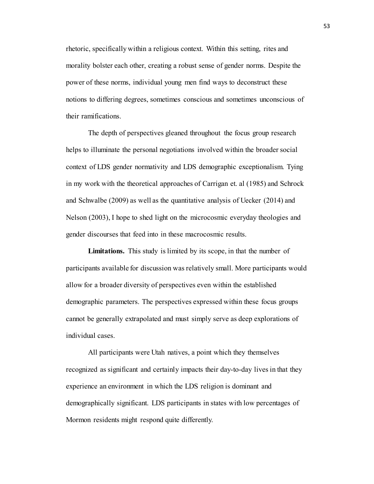rhetoric, specifically within a religious context. Within this setting, rites and morality bolster each other, creating a robust sense of gender norms. Despite the power of these norms, individual young men find ways to deconstruct these notions to differing degrees, sometimes conscious and sometimes unconscious of their ramifications.

The depth of perspectives gleaned throughout the focus group research helps to illuminate the personal negotiations involved within the broader social context of LDS gender normativity and LDS demographic exceptionalism. Tying in my work with the theoretical approaches of Carrigan et. al (1985) and Schrock and Schwalbe (2009) as well as the quantitative analysis of Uecker (2014) and Nelson (2003), I hope to shed light on the microcosmic everyday theologies and gender discourses that feed into in these macrocosmic results.

**Limitations.** This study is limited by its scope, in that the number of participants available for discussion was relatively small. More participants would allow for a broader diversity of perspectives even within the established demographic parameters. The perspectives expressed within these focus groups cannot be generally extrapolated and must simply serve as deep explorations of individual cases.

All participants were Utah natives, a point which they themselves recognized as significant and certainly impacts their day-to-day lives in that they experience an environment in which the LDS religion is dominant and demographically significant. LDS participants in states with low percentages of Mormon residents might respond quite differently.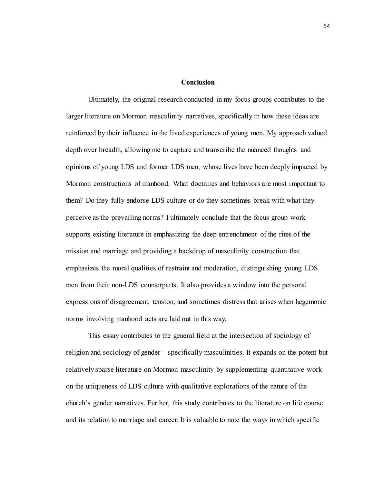#### **Conclusion**

Ultimately, the original research conducted in my focus groups contributes to the larger literature on Mormon masculinity narratives, specifically in how these ideas are reinforced by their influence in the lived experiences of young men. My approach valued depth over breadth, allowing me to capture and transcribe the nuanced thoughts and opinions of young LDS and former LDS men, whose lives have been deeply impacted by Mormon constructions of manhood. What doctrines and behaviors are most important to them? Do they fully endorse LDS culture or do they sometimes break with what they perceive as the prevailing norms? I ultimately conclude that the focus group work supports existing literature in emphasizing the deep entrenchment of the rites of the mission and marriage and providing a backdrop of masculinity construction that emphasizes the moral qualities of restraint and moderation, distinguishing young LDS men from their non-LDS counterparts. It also provides a window into the personal expressions of disagreement, tension, and sometimes distress that arises when hegemonic norms involving manhood acts are laid out in this way.

This essay contributes to the general field at the intersection of sociology of religion and sociology of gender—specifically masculinities. It expands on the potent but relatively sparse literature on Mormon masculinity by supplementing quantitative work on the uniqueness of LDS culture with qualitative explorations of the nature of the church's gender narratives. Further, this study contributes to the literature on life course and its relation to marriage and career. It is valuable to note the ways in which specific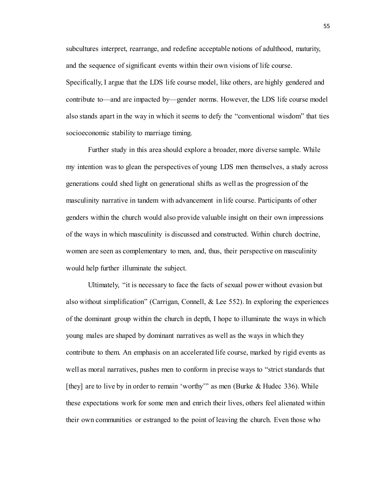subcultures interpret, rearrange, and redefine acceptable notions of adulthood, maturity, and the sequence of significant events within their own visions of life course. Specifically, I argue that the LDS life course model, like others, are highly gendered and contribute to—and are impacted by—gender norms. However, the LDS life course model also stands apart in the way in which it seems to defy the "conventional wisdom" that ties socioeconomic stability to marriage timing.

Further study in this area should explore a broader, more diverse sample. While my intention was to glean the perspectives of young LDS men themselves, a study across generations could shed light on generational shifts as well as the progression of the masculinity narrative in tandem with advancement in life course. Participants of other genders within the church would also provide valuable insight on their own impressions of the ways in which masculinity is discussed and constructed. Within church doctrine, women are seen as complementary to men, and, thus, their perspective on masculinity would help further illuminate the subject.

Ultimately, "it is necessary to face the facts of sexual power without evasion but also without simplification" (Carrigan, Connell, & Lee 552). In exploring the experiences of the dominant group within the church in depth, I hope to illuminate the ways in which young males are shaped by dominant narratives as well as the ways in which they contribute to them. An emphasis on an accelerated life course, marked by rigid events as well as moral narratives, pushes men to conform in precise ways to "strict standards that [they] are to live by in order to remain 'worthy'" as men (Burke & Hudec 336). While these expectations work for some men and enrich their lives, others feel alienated within their own communities or estranged to the point of leaving the church. Even those who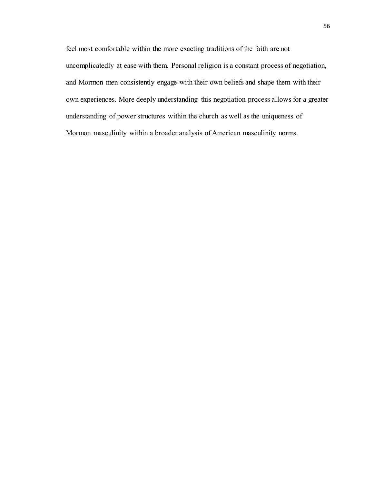feel most comfortable within the more exacting traditions of the faith are not uncomplicatedly at ease with them. Personal religion is a constant process of negotiation, and Mormon men consistently engage with their own beliefs and shape them with their own experiences. More deeply understanding this negotiation process allows for a greater understanding of power structures within the church as well as the uniqueness of Mormon masculinity within a broader analysis of American masculinity norms.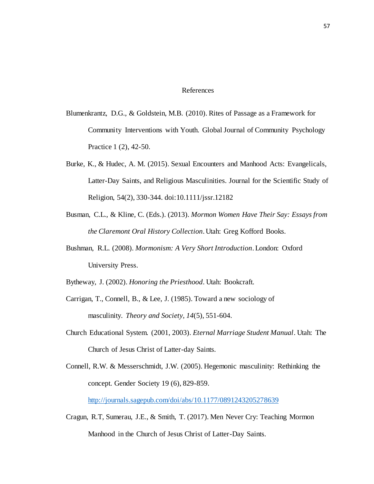## References

- Blumenkrantz, D.G., & Goldstein, M.B. (2010). Rites of Passage as a Framework for Community Interventions with Youth. Global Journal of Community Psychology Practice 1 (2), 42-50.
- Burke, K., & Hudec, A. M. (2015). Sexual Encounters and Manhood Acts: Evangelicals, Latter-Day Saints, and Religious Masculinities. Journal for the Scientific Study of Religion, 54(2), 330-344. doi:10.1111/jssr.12182
- Busman, C.L., & Kline, C. (Eds.). (2013). *Mormon Women Have Their Say: Essays from the Claremont Oral History Collection*. Utah: Greg Kofford Books.
- Bushman, R.L. (2008). *Mormonism: A Very Short Introduction*. London: Oxford University Press.
- Bytheway, J. (2002). *Honoring the Priesthood*. Utah: Bookcraft.
- Carrigan, T., Connell, B., & Lee, J. (1985). Toward a new sociology of masculinity. *Theory and Society, 14*(5), 551-604.
- Church Educational System. (2001, 2003). *Eternal Marriage Student Manual*. Utah: The Church of Jesus Christ of Latter-day Saints.
- Connell, R.W. & Messerschmidt, J.W. (2005). Hegemonic masculinity: Rethinking the concept. Gender Society 19 (6), 829-859.

<http://journals.sagepub.com/doi/abs/10.1177/0891243205278639>

Cragun, R.T, Sumerau, J.E., & Smith, T. (2017). Men Never Cry: Teaching Mormon Manhood in the Church of Jesus Christ of Latter-Day Saints.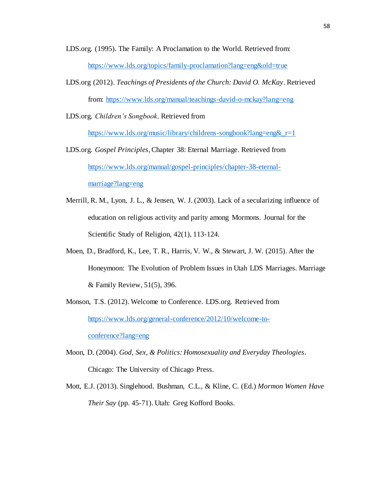LDS.org. (1995). The Family: A Proclamation to the World. Retrieved from: <https://www.lds.org/topics/family-proclamation?lang=eng&old=true>

LDS.org (2012). *Teachings of Presidents of the Church: David O. McKay*. Retrieved from:<https://www.lds.org/manual/teachings-david-o-mckay?lang=eng>

LDS.org. *Children's Songbook*. Retrieved from

[https://www.lds.org/music/library/childrens-songbook?lang=eng&\\_r=1](https://www.lds.org/music/library/childrens-songbook?lang=eng&_r=1)

- LDS.org. *Gospel Principles*, Chapter 38: Eternal Marriage*.* Retrieved from [https://www.lds.org/manual/gospel-principles/chapter-38-eternal](https://www.lds.org/manual/gospel-principles/chapter-38-eternal-marriage?lang=eng)[marriage?lang=eng](https://www.lds.org/manual/gospel-principles/chapter-38-eternal-marriage?lang=eng)
- Merrill, R. M., Lyon, J. L., & Jensen, W. J. (2003). Lack of a secularizing influence of education on religious activity and parity among Mormons. Journal for the Scientific Study of Religion, 42(1), 113-124.
- Moen, D., Bradford, K., Lee, T. R., Harris, V. W., & Stewart, J. W. (2015). After the Honeymoon: The Evolution of Problem Issues in Utah LDS Marriages. Marriage & Family Review, 51(5), 396.
- Monson, T.S. (2012). Welcome to Conference. LDS.org. Retrieved from [https://www.lds.org/general-conference/2012/10/welcome-to](https://www.lds.org/general-conference/2012/10/welcome-to-conference?lang=eng)[conference?lang=eng](https://www.lds.org/general-conference/2012/10/welcome-to-conference?lang=eng)
- Moon, D. (2004). *God, Sex, & Politics: Homosexuality and Everyday Theologies*. Chicago: The University of Chicago Press.
- Mott, E.J. (2013). Singlehood. Bushman, C.L., & Kline, C. (Ed.) *Mormon Women Have Their Say* (pp. 45-71). Utah: Greg Kofford Books.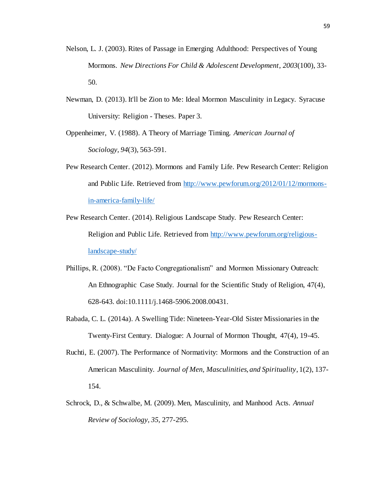- Nelson, L. J. (2003). Rites of Passage in Emerging Adulthood: Perspectives of Young Mormons. *New Directions For Child & Adolescent Development*, *2003*(100), 33- 50.
- Newman, D. (2013). It'll be Zion to Me: Ideal Mormon Masculinity in Legacy. Syracuse University: Religion - Theses. Paper 3.
- Oppenheimer, V. (1988). A Theory of Marriage Timing. *American Journal of Sociology, 94*(3), 563-591.
- Pew Research Center. (2012). Mormons and Family Life. Pew Research Center: Religion and Public Life. Retrieved from [http://www.pewforum.org/2012/01/12/mormons](http://www.pewforum.org/2012/01/12/mormons-in-america-family-life/)[in-america-family-life/](http://www.pewforum.org/2012/01/12/mormons-in-america-family-life/)
- Pew Research Center. (2014). Religious Landscape Study. Pew Research Center: Religion and Public Life. Retrieved from [http://www.pewforum.org/religious](http://www.pewforum.org/religious-landscape-study/)[landscape-study/](http://www.pewforum.org/religious-landscape-study/)
- Phillips, R. (2008). "De Facto Congregationalism" and Mormon Missionary Outreach: An Ethnographic Case Study. Journal for the Scientific Study of Religion, 47(4), 628-643. doi:10.1111/j.1468-5906.2008.00431.
- Rabada, C. L. (2014a). A Swelling Tide: Nineteen-Year-Old Sister Missionaries in the Twenty-First Century. Dialogue: A Journal of Mormon Thought, 47(4), 19-45.
- Ruchti, E. (2007). The Performance of Normativity: Mormons and the Construction of an American Masculinity. *Journal of Men, Masculinities, and Spirituality*, 1(2), 137- 154.
- Schrock, D., & Schwalbe, M. (2009). Men, Masculinity, and Manhood Acts. *Annual Review of Sociology, 35*, 277-295.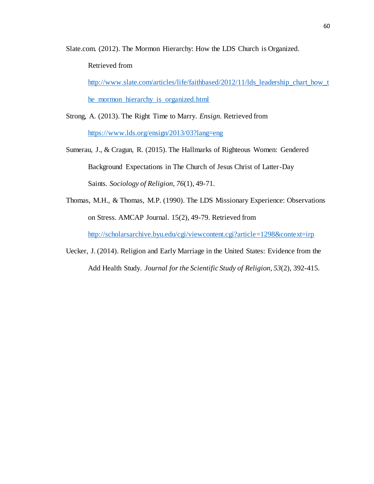Slate.com. (2012). The Mormon Hierarchy: How the LDS Church is Organized.

Retrieved from

[http://www.slate.com/articles/life/faithbased/2012/11/lds\\_leadership\\_chart\\_how\\_t](http://www.slate.com/articles/life/faithbased/2012/11/lds_leadership_chart_how_the_mormon_hierarchy_is_organized.html)

[he\\_mormon\\_hierarchy\\_is\\_organized.html](http://www.slate.com/articles/life/faithbased/2012/11/lds_leadership_chart_how_the_mormon_hierarchy_is_organized.html)

- Strong, A. (2013). The Right Time to Marry. *Ensign.* Retrieved from <https://www.lds.org/ensign/2013/03?lang=eng>
- Sumerau, J., & Cragun, R. (2015). The Hallmarks of Righteous Women: Gendered Background Expectations in The Church of Jesus Christ of Latter-Day Saints. *Sociology of Religion, 76*(1), 49-71.
- Thomas, M.H., & Thomas, M.P. (1990). The LDS Missionary Experience: Observations on Stress. AMCAP Journal. 15(2), 49-79. Retrieved from

<http://scholarsarchive.byu.edu/cgi/viewcontent.cgi?article=1298&context=irp>

Uecker, J. (2014). Religion and Early Marriage in the United States: Evidence from the Add Health Study. *Journal for the Scientific Study of Religion, 53*(2), 392-415.